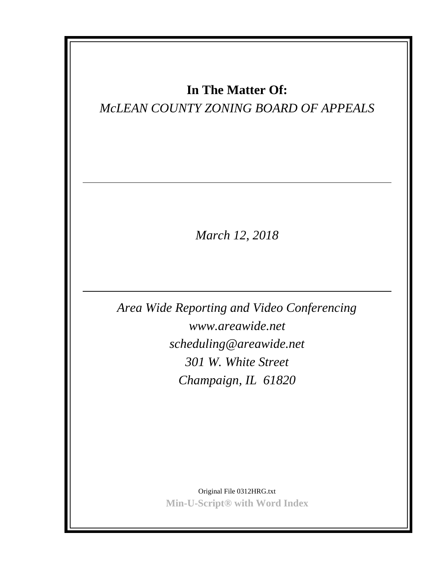# **In The Matter Of:**

# *McLEAN COUNTY ZONING BOARD OF APPEALS*

*March 12, 2018*

*Area Wide Reporting and Video Conferencing www.areawide.net scheduling@areawide.net 301 W. White Street Champaign, IL 61820*

> Original File 0312HRG.txt **Min-U-Script® with Word Index**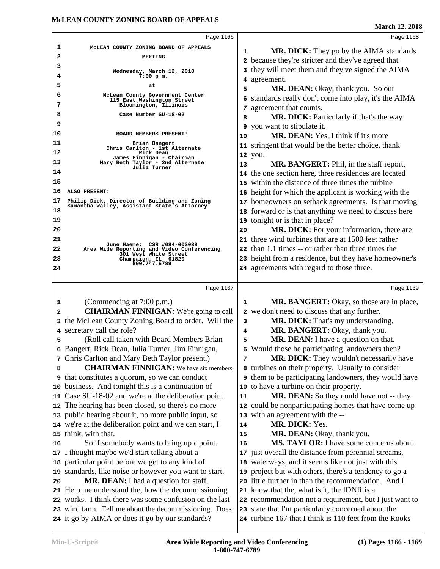|    | Page 1166                                                                                                 |    | Page 1168                                                                                                    |
|----|-----------------------------------------------------------------------------------------------------------|----|--------------------------------------------------------------------------------------------------------------|
| 1  | MCLEAN COUNTY ZONING BOARD OF APPEALS                                                                     |    |                                                                                                              |
| 2  | <b>MEETING</b>                                                                                            | 1  | MR. DICK: They go by the AIMA standards                                                                      |
| 3  |                                                                                                           | 2  | because they're stricter and they've agreed that                                                             |
| 4  | Wednesday, March 12, 2018<br>$7:00$ p.m.                                                                  | 3  | they will meet them and they've signed the AIMA                                                              |
| 5  | at                                                                                                        | 4  | agreement.                                                                                                   |
| 6  | McLean County Government Center                                                                           | 5  | MR. DEAN: Okay, thank you. So our                                                                            |
| 7  | 115 East Washington Street<br>Bloomington, Illinois                                                       | 6  | standards really don't come into play, it's the AIMA                                                         |
| 8  | Case Number SU-18-02                                                                                      | 7  | agreement that counts.                                                                                       |
| 9  |                                                                                                           | 8  | <b>MR. DICK:</b> Particularly if that's the way                                                              |
| 10 | BOARD MEMBERS PRESENT:                                                                                    | 9  | you want to stipulate it.                                                                                    |
| 11 | Brian Bangert                                                                                             | 10 | MR. DEAN: Yes, I think if it's more                                                                          |
| 12 | Chris Carlton - 1st Alternate<br>Rick Dean                                                                |    | 11 stringent that would be the better choice, thank                                                          |
| 13 | James Finnigan - Chairman                                                                                 |    | 12 you.                                                                                                      |
|    | Mary Beth Taylor - 2nd Alternate<br>Julia Turner                                                          | 13 | MR. BANGERT: Phil, in the staff report,                                                                      |
| 14 |                                                                                                           |    | 14 the one section here, three residences are located                                                        |
| 15 |                                                                                                           | 15 | within the distance of three times the turbine                                                               |
| 16 | ALSO PRESENT:                                                                                             | 16 | height for which the applicant is working with the                                                           |
| 17 | Philip Dick, Director of Building and Zoning<br>Samantha Walley, Assistant State's Attorney               |    | 17 homeowners on setback agreements. Is that moving                                                          |
| 18 |                                                                                                           | 18 | forward or is that anything we need to discuss here                                                          |
| 19 |                                                                                                           | 19 | tonight or is that in place?                                                                                 |
| 20 |                                                                                                           | 20 | <b>MR. DICK:</b> For your information, there are                                                             |
| 21 | June Haeme: CSR #084-003038                                                                               | 21 | three wind turbines that are at 1500 feet rather                                                             |
| 22 | Area Wide Reporting and Video Conferencing<br>301 West White Street                                       | 22 | than 1.1 times -- or rather than three times the                                                             |
| 23 | Champaign, IL 61820<br>800.747.6789                                                                       |    | 23 height from a residence, but they have homeowner's                                                        |
| 24 |                                                                                                           |    | 24 agreements with regard to those three.                                                                    |
|    |                                                                                                           |    |                                                                                                              |
|    |                                                                                                           |    |                                                                                                              |
|    | Page 1167                                                                                                 |    | Page 1169                                                                                                    |
| 1  | (Commencing at 7:00 p.m.)                                                                                 | 1  | <b>MR. BANGERT:</b> Okay, so those are in place,                                                             |
| 2  | <b>CHAIRMAN FINNIGAN:</b> We're going to call                                                             |    | 2 we don't need to discuss that any further.                                                                 |
|    | 3 the McLean County Zoning Board to order. Will the                                                       | 3  | <b>MR. DICK:</b> That's my understanding.                                                                    |
|    | 4 secretary call the role?                                                                                | 4  | MR. BANGERT: Okay, thank you.                                                                                |
| 5  | (Roll call taken with Board Members Brian                                                                 | 5  | MR. DEAN: I have a question on that.                                                                         |
| 6  | Bangert, Rick Dean, Julia Turner, Jim Finnigan,                                                           | 6  | Would those be participating landowners then?                                                                |
|    | 7 Chris Carlton and Mary Beth Taylor present.)                                                            | 7  | MR. DICK: They wouldn't necessarily have                                                                     |
| 8  | <b>CHAIRMAN FINNIGAN:</b> We have six members,                                                            |    | 8 turbines on their property. Usually to consider                                                            |
|    | <b>9</b> that constitutes a quorum, so we can conduct                                                     |    | <b>9</b> them to be participating landowners, they would have                                                |
|    | 10 business. And tonight this is a continuation of                                                        |    | 10 to have a turbine on their property.                                                                      |
|    | 11 Case SU-18-02 and we're at the deliberation point.                                                     | 11 | MR. DEAN: So they could have not -- they                                                                     |
|    | 12 The hearing has been closed, so there's no more                                                        |    | 12 could be nonparticipating homes that have come up                                                         |
|    | 13 public hearing about it, no more public input, so                                                      |    | 13 with an agreement with the --                                                                             |
|    | 14 we're at the deliberation point and we can start, I                                                    | 14 | MR. DICK: Yes.                                                                                               |
|    | 15 think, with that.                                                                                      | 15 | MR. DEAN: Okay, thank you.                                                                                   |
| 16 | So if somebody wants to bring up a point.                                                                 | 16 | MS. TAYLOR: I have some concerns about                                                                       |
|    |                                                                                                           |    |                                                                                                              |
|    | 17 I thought maybe we'd start talking about a                                                             |    | 17 just overall the distance from perennial streams,                                                         |
|    | 18 particular point before we get to any kind of                                                          | 19 | 18 waterways, and it seems like not just with this                                                           |
| 20 | 19 standards, like noise or however you want to start.                                                    | 20 | project but with others, there's a tendency to go a                                                          |
|    | MR. DEAN: I had a question for staff.                                                                     | 21 | little further in than the recommendation. And I                                                             |
|    | 21 Help me understand the, how the decommissioning                                                        |    | know that the, what is it, the IDNR is a                                                                     |
|    | 22 works. I think there was some confusion on the last                                                    |    | 22 recommendation not a requirement, but I just want to                                                      |
|    | 23 wind farm. Tell me about the decommissioning. Does<br>24 it go by AIMA or does it go by our standards? |    | 23 state that I'm particularly concerned about the<br>24 turbine 167 that I think is 110 feet from the Rooks |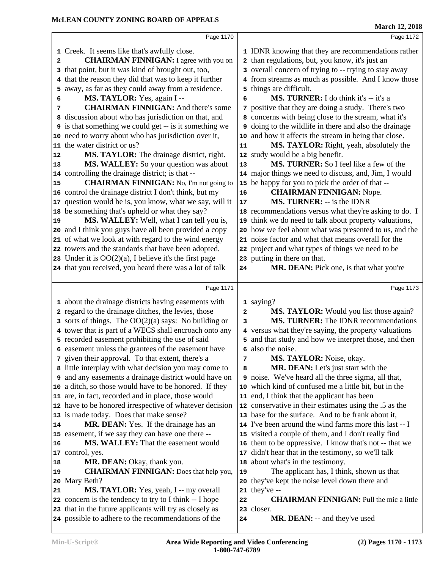|                                                                                                                                                                                                                                                                                                                                                                                                                                                                                                                                                                                                                                                                                                                                                                                                                                                                                                                                                                                                                                                                                                             | <b>March 12, 2018</b>                                                                                                                                                                                                                                                                                                                                                                                                                                                                                                                                                                                                                                                                                                                                                                                                                                                                                                                                                                                                                                          |
|-------------------------------------------------------------------------------------------------------------------------------------------------------------------------------------------------------------------------------------------------------------------------------------------------------------------------------------------------------------------------------------------------------------------------------------------------------------------------------------------------------------------------------------------------------------------------------------------------------------------------------------------------------------------------------------------------------------------------------------------------------------------------------------------------------------------------------------------------------------------------------------------------------------------------------------------------------------------------------------------------------------------------------------------------------------------------------------------------------------|----------------------------------------------------------------------------------------------------------------------------------------------------------------------------------------------------------------------------------------------------------------------------------------------------------------------------------------------------------------------------------------------------------------------------------------------------------------------------------------------------------------------------------------------------------------------------------------------------------------------------------------------------------------------------------------------------------------------------------------------------------------------------------------------------------------------------------------------------------------------------------------------------------------------------------------------------------------------------------------------------------------------------------------------------------------|
| Page 1170                                                                                                                                                                                                                                                                                                                                                                                                                                                                                                                                                                                                                                                                                                                                                                                                                                                                                                                                                                                                                                                                                                   | Page 1172                                                                                                                                                                                                                                                                                                                                                                                                                                                                                                                                                                                                                                                                                                                                                                                                                                                                                                                                                                                                                                                      |
| 1 Creek. It seems like that's awfully close.<br><b>CHAIRMAN FINNIGAN:</b> I agree with you on<br>$\mathbf{2}$<br>that point, but it was kind of brought out, too,<br>3<br>that the reason they did that was to keep it further<br>4<br>away, as far as they could away from a residence.<br>5<br>MS. TAYLOR: Yes, again I --<br>6<br><b>CHAIRMAN FINNIGAN:</b> And there's some<br>7<br>discussion about who has jurisdiction on that, and<br>8<br><b>9</b> is that something we could get -- is it something we<br>10 need to worry about who has jurisdiction over it,<br>11 the water district or us?<br>MS. TAYLOR: The drainage district, right.<br>12<br>MS. WALLEY: So your question was about<br>13<br>14 controlling the drainage district; is that --<br><b>CHAIRMAN FINNIGAN:</b> No, I'm not going to<br>15<br>16 control the drainage district I don't think, but my<br>17 question would be is, you know, what we say, will it<br>18 be something that's upheld or what they say?<br>MS. WALLEY: Well, what I can tell you is,<br>19<br>20 and I think you guys have all been provided a copy | 1 IDNR knowing that they are recommendations rather<br>2 than regulations, but, you know, it's just an<br>3 overall concern of trying to -- trying to stay away<br>4 from streams as much as possible. And I know those<br>5 things are difficult.<br>MS. TURNER: I do think it's -- it's a<br>6<br>7 positive that they are doing a study. There's two<br>8 concerns with being close to the stream, what it's<br><b>9</b> doing to the wildlife in there and also the drainage<br>10 and how it affects the stream in being that close.<br>MS. TAYLOR: Right, yeah, absolutely the<br>11<br>12 study would be a big benefit.<br>MS. TURNER: So I feel like a few of the<br>13<br>14 major things we need to discuss, and, Jim, I would<br>15 be happy for you to pick the order of that --<br><b>CHAIRMAN FINNIGAN: Nope.</b><br>16<br><b>MS. TURNER:</b> -- is the IDNR<br>17<br>18 recommendations versus what they're asking to do. I<br>19 think we do need to talk about property valuations,<br>20 how we feel about what was presented to us, and the |
| 21 of what we look at with regard to the wind energy                                                                                                                                                                                                                                                                                                                                                                                                                                                                                                                                                                                                                                                                                                                                                                                                                                                                                                                                                                                                                                                        | 21 noise factor and what that means overall for the                                                                                                                                                                                                                                                                                                                                                                                                                                                                                                                                                                                                                                                                                                                                                                                                                                                                                                                                                                                                            |
| 22 towers and the standards that have been adopted.<br>23 Under it is $OO(2)(a)$ , I believe it's the first page<br>24 that you received, you heard there was a lot of talk                                                                                                                                                                                                                                                                                                                                                                                                                                                                                                                                                                                                                                                                                                                                                                                                                                                                                                                                 | 22 project and what types of things we need to be<br>23 putting in there on that.<br>MR. DEAN: Pick one, is that what you're<br>${\bf 24}$                                                                                                                                                                                                                                                                                                                                                                                                                                                                                                                                                                                                                                                                                                                                                                                                                                                                                                                     |
| Page 1171                                                                                                                                                                                                                                                                                                                                                                                                                                                                                                                                                                                                                                                                                                                                                                                                                                                                                                                                                                                                                                                                                                   | Page 1173                                                                                                                                                                                                                                                                                                                                                                                                                                                                                                                                                                                                                                                                                                                                                                                                                                                                                                                                                                                                                                                      |
| 1 about the drainage districts having easements with<br>2 regard to the drainage ditches, the levies, those<br>$\alpha$ sorts of things. The OO(2)(a) says: No building or<br>4 tower that is part of a WECS shall encroach onto any<br>5 recorded easement prohibiting the use of said<br>6 easement unless the grantees of the easement have<br>7 given their approval. To that extent, there's a<br>8 little interplay with what decision you may come to<br><b>9</b> and any easements a drainage district would have on<br>10 a ditch, so those would have to be honored. If they<br>11 are, in fact, recorded and in place, those would<br>12 have to be honored irrespective of whatever decision<br>13 is made today. Does that make sense?<br>MR. DEAN: Yes. If the drainage has an<br>14<br>15 easement, if we say they can have one there --<br><b>MS. WALLEY:</b> That the easement would<br>16<br>17 control, yes.<br>MR. DEAN: Okay, thank you.<br>18<br><b>CHAIRMAN FINNIGAN:</b> Does that help you,<br>19<br>Mary Beth?<br>20<br>MS. TAYLOR: Yes, yeah, I -- my overall<br>21              | 1 saying?<br>MS. TAYLOR: Would you list those again?<br>$\overline{\mathbf{2}}$<br>MS. TURNER: The IDNR recommendations<br>3<br>4 versus what they're saying, the property valuations<br>5 and that study and how we interpret those, and then<br>6 also the noise.<br>MS. TAYLOR: Noise, okay.<br>7<br>MR. DEAN: Let's just start with the<br>8<br><b>9</b> noise. We've heard all the three sigma, all that,<br>10 which kind of confused me a little bit, but in the<br>11 end, I think that the applicant has been<br>12 conservative in their estimates using the .5 as the<br>13 base for the surface. And to be frank about it,<br>14 I've been around the wind farms more this last -- I<br>15 visited a couple of them, and I don't really find<br>16 them to be oppressive. I know that's not -- that we<br>17 didn't hear that in the testimony, so we'll talk<br>18 about what's in the testimony.<br>The applicant has, I think, shown us that<br>19<br>20 they've kept the noise level down there and<br>21 they've --                           |
| 22 concern is the tendency to try to I think -- I hope<br>23 that in the future applicants will try as closely as<br>24 possible to adhere to the recommendations of the                                                                                                                                                                                                                                                                                                                                                                                                                                                                                                                                                                                                                                                                                                                                                                                                                                                                                                                                    | <b>CHAIRMAN FINNIGAN:</b> Pull the mic a little<br>22<br>23 closer.<br><b>MR. DEAN:</b> -- and they've used<br>24                                                                                                                                                                                                                                                                                                                                                                                                                                                                                                                                                                                                                                                                                                                                                                                                                                                                                                                                              |
|                                                                                                                                                                                                                                                                                                                                                                                                                                                                                                                                                                                                                                                                                                                                                                                                                                                                                                                                                                                                                                                                                                             |                                                                                                                                                                                                                                                                                                                                                                                                                                                                                                                                                                                                                                                                                                                                                                                                                                                                                                                                                                                                                                                                |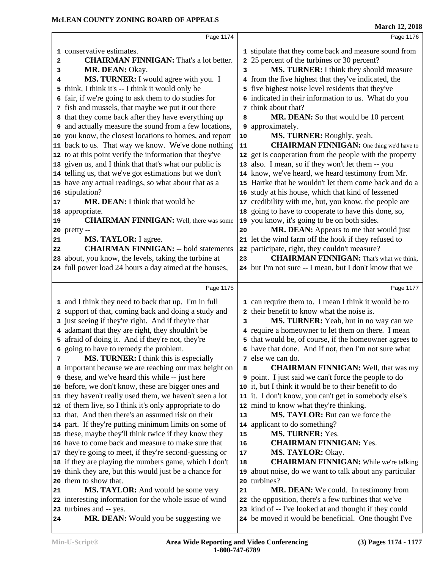|    | Page 1174                                                       |    | Page 1176                                                                                                   |
|----|-----------------------------------------------------------------|----|-------------------------------------------------------------------------------------------------------------|
|    | 1 conservative estimates.                                       |    | 1 stipulate that they come back and measure sound from                                                      |
| 2  | <b>CHAIRMAN FINNIGAN:</b> That's a lot better.                  |    | 2 25 percent of the turbines or 30 percent?                                                                 |
| з  | MR. DEAN: Okay.                                                 | 3  | MS. TURNER: I think they should measure                                                                     |
| 4  | MS. TURNER: I would agree with you. I                           |    | 4 from the five highest that they've indicated, the                                                         |
|    | 5 think, I think it's -- I think it would only be               |    | 5 five highest noise level residents that they've                                                           |
|    | 6 fair, if we're going to ask them to do studies for            |    | 6 indicated in their information to us. What do you                                                         |
|    | 7 fish and mussels, that maybe we put it out there              |    | 7 think about that?                                                                                         |
|    | 8 that they come back after they have everything up             | 8  | MR. DEAN: So that would be 10 percent                                                                       |
|    | <b>9</b> and actually measure the sound from a few locations,   | 9  | approximately.                                                                                              |
|    | 10 you know, the closest locations to homes, and report         | 10 | MS. TURNER: Roughly, yeah.                                                                                  |
|    | 11 back to us. That way we know. We've done nothing             | 11 | <b>CHAIRMAN FINNIGAN:</b> One thing we'd have to                                                            |
|    | 12 to at this point verify the information that they've         |    | 12 get is cooperation from the people with the property                                                     |
|    | 13 given us, and I think that that's what our public is         |    | 13 also. I mean, so if they won't let them -- you                                                           |
|    | 14 telling us, that we've got estimations but we don't          |    | 14 know, we've heard, we heard testimony from Mr.                                                           |
|    | 15 have any actual readings, so what about that as a            |    | 15 Hartke that he wouldn't let them come back and do a                                                      |
|    | 16 stipulation?                                                 |    | 16 study at his house, which that kind of lessened                                                          |
| 17 | MR. DEAN: I think that would be                                 |    | 17 credibility with me, but, you know, the people are                                                       |
|    | 18 appropriate.                                                 |    | 18 going to have to cooperate to have this done, so,                                                        |
| 19 | <b>CHAIRMAN FINNIGAN:</b> Well, there was some                  |    | 19 you know, it's going to be on both sides.                                                                |
|    | 20 pretty --                                                    | 20 | MR. DEAN: Appears to me that would just                                                                     |
| 21 | MS. TAYLOR: I agree.                                            |    | 21 let the wind farm off the hook if they refused to                                                        |
| 22 | <b>CHAIRMAN FINNIGAN: -- bold statements</b>                    |    | 22 participate, right, they couldn't measure?                                                               |
|    | 23 about, you know, the levels, taking the turbine at           | 23 | <b>CHAIRMAN FINNIGAN:</b> That's what we think,                                                             |
|    | 24 full power load 24 hours a day aimed at the houses,          |    | 24 but I'm not sure -- I mean, but I don't know that we                                                     |
|    |                                                                 |    |                                                                                                             |
|    | Page 1175                                                       |    | Page 1177                                                                                                   |
|    | 1 and I think they need to back that up. I'm in full            |    | 1 can require them to. I mean I think it would be to                                                        |
|    | 2 support of that, coming back and doing a study and            |    | 2 their benefit to know what the noise is.                                                                  |
|    | 3 just seeing if they're right. And if they're that             | 3  | MS. TURNER: Yeah, but in no way can we                                                                      |
|    | 4 adamant that they are right, they shouldn't be                |    | 4 require a homeowner to let them on there. I mean                                                          |
|    | 5 afraid of doing it. And if they're not, they're               |    | 5 that would be, of course, if the homeowner agrees to                                                      |
|    | 6 going to have to remedy the problem.                          |    | 6 have that done. And if not, then I'm not sure what                                                        |
| 7  | MS. TURNER: I think this is especially                          |    |                                                                                                             |
|    |                                                                 |    | 7 else we can do.                                                                                           |
|    | 8 important because we are reaching our max height on           | 8  | <b>CHAIRMAN FINNIGAN:</b> Well, that was my                                                                 |
|    | <b>9</b> these, and we've heard this while -- just here         |    | <b>9</b> point. I just said we can't force the people to do                                                 |
|    | 10 before, we don't know, these are bigger ones and             |    | 10 it, but I think it would be to their benefit to do                                                       |
|    | 11 they haven't really used them, we haven't seen a lot         |    | 11 it. I don't know, you can't get in somebody else's                                                       |
|    | 12 of them live, so I think it's only appropriate to do         |    | 12 mind to know what they're thinking.                                                                      |
|    | 13 that. And then there's an assumed risk on their              | 13 | MS. TAYLOR: But can we force the                                                                            |
|    | 14 part. If they're putting minimum limits on some of           |    | 14 applicant to do something?                                                                               |
|    | 15 these, maybe they'll think twice if they know they           | 15 | <b>MS. TURNER: Yes.</b>                                                                                     |
|    | 16 have to come back and measure to make sure that              | 16 | <b>CHAIRMAN FINNIGAN: Yes.</b>                                                                              |
|    | 17 they're going to meet, if they're second-guessing or         | 17 | MS. TAYLOR: Okay.                                                                                           |
|    | 18 if they are playing the numbers game, which I don't          | 18 | <b>CHAIRMAN FINNIGAN:</b> While we're talking                                                               |
|    | 19 think they are, but this would just be a chance for          | 19 | about noise, do we want to talk about any particular                                                        |
|    | 20 them to show that.                                           | 20 | turbines?                                                                                                   |
| 21 | MS. TAYLOR: And would be some very                              | 21 | MR. DEAN: We could. In testimony from                                                                       |
|    | 22 interesting information for the whole issue of wind          |    | 22 the opposition, there's a few turbines that we've                                                        |
| 24 | 23 turbines and -- yes.<br>MR. DEAN: Would you be suggesting we | 23 | kind of -- I've looked at and thought if they could<br>24 be moved it would be beneficial. One thought I've |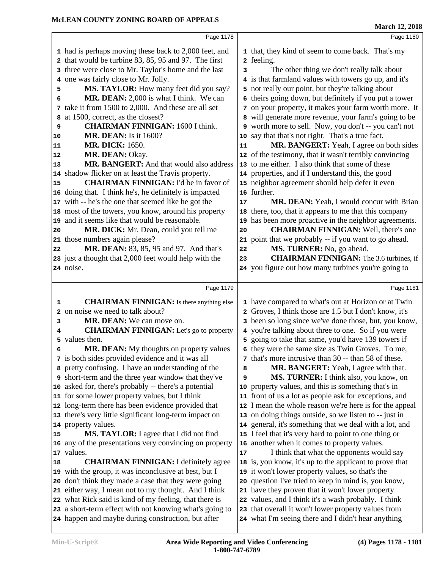|    | Page 1178                                                                                                     |    | Page 1180                                                                                                  |  |
|----|---------------------------------------------------------------------------------------------------------------|----|------------------------------------------------------------------------------------------------------------|--|
|    | 1 had is perhaps moving these back to 2,000 feet, and                                                         |    | 1 that, they kind of seem to come back. That's my                                                          |  |
|    | 2 that would be turbine 83, 85, 95 and 97. The first                                                          |    | 2 feeling.                                                                                                 |  |
|    | 3 three were close to Mr. Taylor's home and the last                                                          | 3  | The other thing we don't really talk about                                                                 |  |
|    | 4 one was fairly close to Mr. Jolly.                                                                          |    | 4 is that farmland values with towers go up, and it's                                                      |  |
| 5  | MS. TAYLOR: How many feet did you say?                                                                        |    | 5 not really our point, but they're talking about                                                          |  |
| 6  | MR. DEAN: 2,000 is what I think. We can                                                                       |    | 6 theirs going down, but definitely if you put a tower                                                     |  |
| 7  | take it from 1500 to 2,000. And these are all set                                                             |    | 7 on your property, it makes your farm worth more. It                                                      |  |
|    | 8 at 1500, correct, as the closest?                                                                           |    | 8 will generate more revenue, your farm's going to be                                                      |  |
| 9  | <b>CHAIRMAN FINNIGAN: 1600 I think.</b>                                                                       |    | 9 worth more to sell. Now, you don't -- you can't not                                                      |  |
| 10 | <b>MR. DEAN:</b> Is it 1600?                                                                                  |    | 10 say that that's not right. That's a true fact.                                                          |  |
| 11 | <b>MR. DICK: 1650.</b>                                                                                        | 11 | MR. BANGERT: Yeah, I agree on both sides                                                                   |  |
| 12 | MR. DEAN: Okay.                                                                                               |    | 12 of the testimony, that it wasn't terribly convincing                                                    |  |
| 13 | MR. BANGERT: And that would also address                                                                      |    | 13 to me either. I also think that some of these                                                           |  |
|    | 14 shadow flicker on at least the Travis property.                                                            |    | 14 properties, and if I understand this, the good                                                          |  |
| 15 | <b>CHAIRMAN FINNIGAN:</b> I'd be in favor of                                                                  |    | 15 neighbor agreement should help defer it even                                                            |  |
|    | 16 doing that. I think he's, he definitely is impacted                                                        |    | 16 further.                                                                                                |  |
|    | 17 with -- he's the one that seemed like he got the                                                           | 17 | MR. DEAN: Yeah, I would concur with Brian                                                                  |  |
|    | 18 most of the towers, you know, around his property                                                          | 18 | there, too, that it appears to me that this company                                                        |  |
|    | 19 and it seems like that would be reasonable.                                                                | 19 | has been more proactive in the neighbor agreements.                                                        |  |
| 20 | MR. DICK: Mr. Dean, could you tell me                                                                         | 20 | <b>CHAIRMAN FINNIGAN:</b> Well, there's one                                                                |  |
|    | 21 those numbers again please?                                                                                |    | 21 point that we probably -- if you want to go ahead.                                                      |  |
| 22 | MR. DEAN: 83, 85, 95 and 97. And that's                                                                       | 22 | MS. TURNER: No, go ahead.                                                                                  |  |
|    | 23 just a thought that 2,000 feet would help with the                                                         | 23 | <b>CHAIRMAN FINNIGAN:</b> The 3.6 turbines, if                                                             |  |
|    | 24 noise.                                                                                                     |    | 24 you figure out how many turbines you're going to                                                        |  |
|    |                                                                                                               |    |                                                                                                            |  |
|    |                                                                                                               |    |                                                                                                            |  |
|    | Page 1179                                                                                                     |    | Page 1181                                                                                                  |  |
| 1  | <b>CHAIRMAN FINNIGAN:</b> Is there anything else                                                              |    | 1 have compared to what's out at Horizon or at Twin                                                        |  |
|    | 2 on noise we need to talk about?                                                                             |    | 2 Groves, I think those are 1.5 but I don't know, it's                                                     |  |
| 3  | MR. DEAN: We can move on.                                                                                     |    | 3 been so long since we've done those, but, you know,                                                      |  |
| 4  | <b>CHAIRMAN FINNIGAN:</b> Let's go to property                                                                |    | 4 you're talking about three to one. So if you were                                                        |  |
| 5  | values then.                                                                                                  |    | 5 going to take that same, you'd have 139 towers if                                                        |  |
| 6  | MR. DEAN: My thoughts on property values                                                                      |    | 6 they were the same size as Twin Groves. To me,                                                           |  |
|    | 7 is both sides provided evidence and it was all                                                              |    | 7 that's more intrusive than 30 -- than 58 of these.                                                       |  |
|    | 8 pretty confusing. I have an understanding of the                                                            | 8  | MR. BANGERT: Yeah, I agree with that.                                                                      |  |
|    | 9 short-term and the three year window that they've                                                           | 9  | MS. TURNER: I think also, you know, on                                                                     |  |
|    | 10 asked for, there's probably -- there's a potential                                                         | 10 | property values, and this is something that's in                                                           |  |
|    | 11 for some lower property values, but I think                                                                |    | 11 front of us a lot as people ask for exceptions, and                                                     |  |
|    | 12 long-term there has been evidence provided that                                                            |    | 12 I mean the whole reason we're here is for the appeal                                                    |  |
|    | 13 there's very little significant long-term impact on                                                        |    | 13 on doing things outside, so we listen to -- just in                                                     |  |
|    | 14 property values.                                                                                           |    | 14 general, it's something that we deal with a lot, and                                                    |  |
| 15 | MS. TAYLOR: I agree that I did not find                                                                       |    | 15 I feel that it's very hard to point to one thing or                                                     |  |
|    | 16 any of the presentations very convincing on property                                                       |    | 16 another when it comes to property values.                                                               |  |
|    | 17 values.                                                                                                    | 17 | I think that what the opponents would say                                                                  |  |
| 18 | <b>CHAIRMAN FINNIGAN:</b> I definitely agree                                                                  |    | 18 is, you know, it's up to the applicant to prove that                                                    |  |
|    | 19 with the group, it was inconclusive at best, but I                                                         |    | 19 it won't lower property values, so that's the                                                           |  |
|    | 20 don't think they made a case that they were going                                                          |    | 20 question I've tried to keep in mind is, you know,                                                       |  |
|    | 21 either way, I mean not to my thought. And I think                                                          |    | 21 have they proven that it won't lower property                                                           |  |
|    | 22 what Rick said is kind of my feeling, that there is                                                        |    | 22 values, and I think it's a wash probably. I think                                                       |  |
|    | 23 a short-term effect with not knowing what's going to<br>24 happen and maybe during construction, but after |    | 23 that overall it won't lower property values from<br>24 what I'm seeing there and I didn't hear anything |  |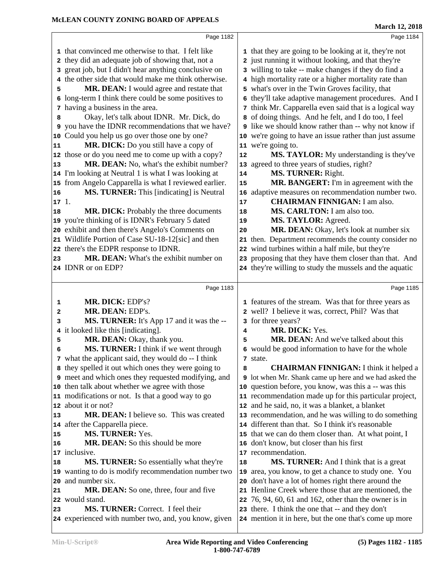|          | Page 1182                                                                                                  |    | Page 1184                                                     |  |
|----------|------------------------------------------------------------------------------------------------------------|----|---------------------------------------------------------------|--|
|          | 1 that convinced me otherwise to that. I felt like                                                         |    | 1 that they are going to be looking at it, they're not        |  |
|          | 2 they did an adequate job of showing that, not a                                                          |    | 2 just running it without looking, and that they're           |  |
|          | 3 great job, but I didn't hear anything conclusive on                                                      |    | 3 willing to take -- make changes if they do find a           |  |
|          | 4 the other side that would make me think otherwise.                                                       |    | 4 high mortality rate or a higher mortality rate than         |  |
| 5        | MR. DEAN: I would agree and restate that                                                                   |    | 5 what's over in the Twin Groves facility, that               |  |
|          | 6 long-term I think there could be some positives to                                                       |    | 6 they'll take adaptive management procedures. And I          |  |
|          | 7 having a business in the area.                                                                           |    | 7 think Mr. Capparella even said that is a logical way        |  |
| 8        | Okay, let's talk about IDNR. Mr. Dick, do                                                                  |    | 8 of doing things. And he felt, and I do too, I feel          |  |
|          | 9 you have the IDNR recommendations that we have?                                                          |    | <b>9</b> like we should know rather than -- why not know if   |  |
| 10       | Could you help us go over those one by one?                                                                |    | 10 we're going to have an issue rather than just assume       |  |
| 11       | MR. DICK: Do you still have a copy of                                                                      |    | 11 we're going to.                                            |  |
|          | 12 those or do you need me to come up with a copy?                                                         | 12 | <b>MS. TAYLOR:</b> My understanding is they've                |  |
| 13       | MR. DEAN: No, what's the exhibit number?                                                                   |    | 13 agreed to three years of studies, right?                   |  |
|          | 14 I'm looking at Neutral 1 is what I was looking at                                                       | 14 | MS. TURNER: Right.                                            |  |
|          | 15 from Angelo Capparella is what I reviewed earlier.                                                      | 15 | MR. BANGERT: I'm in agreement with the                        |  |
| 16       | MS. TURNER: This [indicating] is Neutral                                                                   | 16 | adaptive measures on recommendation number two.               |  |
| 171.     |                                                                                                            | 17 | <b>CHAIRMAN FINNIGAN: I am also.</b>                          |  |
| 18       | MR. DICK: Probably the three documents                                                                     | 18 | MS. CARLTON: I am also too.                                   |  |
|          | 19 you're thinking of is IDNR's February 5 dated                                                           | 19 | MS. TAYLOR: Agreed.                                           |  |
|          | 20 exhibit and then there's Angelo's Comments on                                                           | 20 | MR. DEAN: Okay, let's look at number six                      |  |
|          | 21 Wildlife Portion of Case SU-18-12[sic] and then                                                         | 21 | then. Department recommends the county consider no            |  |
|          | 22 there's the EDPR response to IDNR.                                                                      |    | 22 wind turbines within a half mile, but they're              |  |
| 23       | MR. DEAN: What's the exhibit number on                                                                     |    | 23 proposing that they have them closer than that. And        |  |
|          | 24 IDNR or on EDP?                                                                                         |    | 24 they're willing to study the mussels and the aquatic       |  |
|          |                                                                                                            |    |                                                               |  |
|          |                                                                                                            |    |                                                               |  |
|          | Page 1183                                                                                                  |    | Page 1185                                                     |  |
| 1        | MR. DICK: EDP's?                                                                                           |    |                                                               |  |
| 2        | MR. DEAN: EDP's.                                                                                           |    | 1 features of the stream. Was that for three years as         |  |
| 3        |                                                                                                            |    | 2 well? I believe it was, correct, Phil? Was that             |  |
|          | MS. TURNER: It's App 17 and it was the --                                                                  | 4  | 3 for three years?<br>MR. DICK: Yes.                          |  |
| 5        | 4 it looked like this [indicating].<br>MR. DEAN: Okay, thank you.                                          | 5  | <b>MR. DEAN:</b> And we've talked about this                  |  |
| 6        | MS. TURNER: I think if we went through                                                                     |    |                                                               |  |
|          |                                                                                                            |    | 6 would be good information to have for the whole<br>7 state. |  |
|          | 7 what the applicant said, they would do -- I think<br>8 they spelled it out which ones they were going to | 8  | <b>CHAIRMAN FINNIGAN:</b> I think it helped a                 |  |
|          | 9 meet and which ones they requested modifying, and                                                        |    | <b>9</b> lot when Mr. Shank came up here and we had asked the |  |
|          | 10 then talk about whether we agree with those                                                             |    | 10 question before, you know, was this a -- was this          |  |
|          | 11 modifications or not. Is that a good way to go                                                          |    | 11 recommendation made up for this particular project,        |  |
|          | 12 about it or not?                                                                                        |    | 12 and he said, no, it was a blanket, a blanket               |  |
|          | <b>MR. DEAN:</b> I believe so. This was created                                                            |    | 13 recommendation, and he was willing to do something         |  |
|          | 14 after the Capparella piece.                                                                             |    | 14 different than that. So I think it's reasonable            |  |
| 13<br>15 | MS. TURNER: Yes.                                                                                           |    | 15 that we can do them closer than. At what point, I          |  |
| 16       | <b>MR. DEAN:</b> So this should be more                                                                    |    | 16 don't know, but closer than his first                      |  |
|          | 17 inclusive.                                                                                              |    | 17 recommendation.                                            |  |
|          | <b>MS. TURNER:</b> So essentially what they're                                                             | 18 | MS. TURNER: And I think that is a great                       |  |
|          | 19 wanting to do is modify recommendation number two                                                       | 19 | area, you know, to get a chance to study one. You             |  |
| 18       | 20 and number six.                                                                                         | 20 | don't have a lot of homes right there around the              |  |
| 21       | <b>MR. DEAN:</b> So one, three, four and five                                                              |    | 21 Henline Creek where those that are mentioned, the          |  |
|          | 22 would stand.                                                                                            |    | 22 76, 94, 60, 61 and 162, other than the owner is in         |  |
| 23       | MS. TURNER: Correct. I feel their                                                                          |    | 23 there. I think the one that -- and they don't              |  |
|          | 24 experienced with number two, and, you know, given                                                       |    | 24 mention it in here, but the one that's come up more        |  |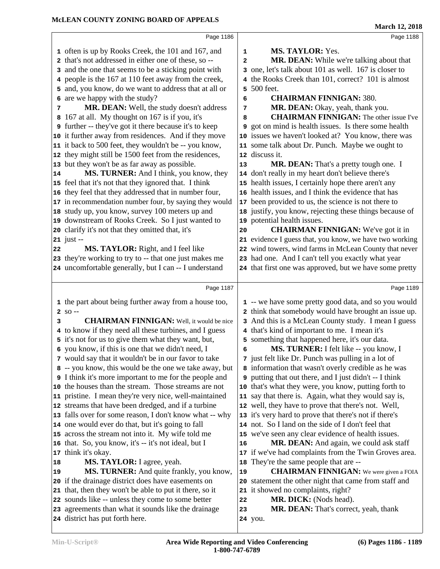|    |                                                               |    | 11101 CH 12, 2010                                             |
|----|---------------------------------------------------------------|----|---------------------------------------------------------------|
|    | Page 1186                                                     |    | Page 1188                                                     |
|    | 1 often is up by Rooks Creek, the 101 and 167, and            | 1  | MS. TAYLOR: Yes.                                              |
|    | 2 that's not addressed in either one of these, so --          | 2  | MR. DEAN: While we're talking about that                      |
|    | 3 and the one that seems to be a sticking point with          |    | 3 one, let's talk about 101 as well. 167 is closer to         |
|    | 4 people is the 167 at 110 feet away from the creek,          |    | 4 the Rooks Creek than 101, correct? 101 is almost            |
|    | 5 and, you know, do we want to address that at all or         |    | 5 500 feet.                                                   |
|    | 6 are we happy with the study?                                | 6  | <b>CHAIRMAN FINNIGAN: 380.</b>                                |
| 7  | MR. DEAN: Well, the study doesn't address                     | 7  | MR. DEAN: Okay, yeah, thank you.                              |
| 8  | 167 at all. My thought on 167 is if you, it's                 | 8  | <b>CHAIRMAN FINNIGAN:</b> The other issue I've                |
|    | <b>9</b> further -- they've got it there because it's to keep | 9  | got on mind is health issues. Is there some health            |
|    | 10 it further away from residences. And if they move          |    | 10 issues we haven't looked at? You know, there was           |
|    | 11 it back to 500 feet, they wouldn't be -- you know,         |    | 11 some talk about Dr. Punch. Maybe we ought to               |
|    | 12 they might still be 1500 feet from the residences,         |    | 12 discuss it.                                                |
|    | 13 but they won't be as far away as possible.                 | 13 | MR. DEAN: That's a pretty tough one. I                        |
| 14 | MS. TURNER: And I think, you know, they                       |    | 14 don't really in my heart don't believe there's             |
|    | 15 feel that it's not that they ignored that. I think         |    | 15 health issues, I certainly hope there aren't any           |
|    | 16 they feel that they addressed that in number four,         |    | 16 health issues, and I think the evidence that has           |
|    | 17 in recommendation number four, by saying they would        |    | 17 been provided to us, the science is not there to           |
|    | 18 study up, you know, survey 100 meters up and               |    | 18 justify, you know, rejecting these things because of       |
|    | 19 downstream of Rooks Creek. So I just wanted to             |    | 19 potential health issues.                                   |
|    | 20 clarify it's not that they omitted that, it's              | 20 | <b>CHAIRMAN FINNIGAN:</b> We've got it in                     |
|    | $21$ just --                                                  |    | 21 evidence I guess that, you know, we have two working       |
| 22 | MS. TAYLOR: Right, and I feel like                            |    | 22 wind towers, wind farms in McLean County that never        |
|    | 23 they're working to try to -- that one just makes me        |    | 23 had one. And I can't tell you exactly what year            |
|    | 24 uncomfortable generally, but I can -- I understand         |    | 24 that first one was approved, but we have some pretty       |
|    |                                                               |    |                                                               |
|    | Page 1187                                                     |    | Page 1189                                                     |
|    | 1 the part about being further away from a house too,         |    | 1 -- we have some pretty good data, and so you would          |
|    | $2$ SO --                                                     |    | 2 think that somebody would have brought an issue up.         |
| 3  | <b>CHAIRMAN FINNIGAN:</b> Well, it would be nice              |    | 3 And this is a McLean County study. I mean I guess           |
|    | 4 to know if they need all these turbines, and I guess        |    | 4 that's kind of important to me. I mean it's                 |
|    | 5 it's not for us to give them what they want, but,           |    | 5 something that happened here, it's our data.                |
|    | 6 you know, if this is one that we didn't need, I             | б. | <b>MS. TURNER:</b> I felt like -- you know, I                 |
|    | 7 would say that it wouldn't be in our favor to take          |    | 7 just felt like Dr. Punch was pulling in a lot of            |
|    | 8 -- you know, this would be the one we take away, but        |    | 8 information that wasn't overly credible as he was           |
|    | I think it's more important to me for the people and          |    | <b>9</b> putting that out there, and I just didn't -- I think |
|    | 10 the houses than the stream. Those streams are not          |    | 10 that's what they were, you know, putting forth to          |
|    | 11 pristine. I mean they're very nice, well-maintained        |    | 11 say that there is. Again, what they would say is,          |
|    | 12 streams that have been dredged, and if a turbine           |    | 12 well, they have to prove that there's not. Well,           |
|    | 13 falls over for some reason, I don't know what -- why       |    | 13 it's very hard to prove that there's not if there's        |
|    | 14 one would ever do that, but it's going to fall             |    | 14 not. So I land on the side of I don't feel that            |
|    | 15 across the stream not into it. My wife told me             |    | 15 we've seen any clear evidence of health issues.            |
|    | 16 that. So, you know, it's -- it's not ideal, but I          | 16 | MR. DEAN: And again, we could ask staff                       |
|    | 17 think it's okay.                                           |    | 17 if we've had complaints from the Twin Groves area.         |
| 18 | MS. TAYLOR: I agree, yeah.                                    |    | 18 They're the same people that are --                        |
| 19 | MS. TURNER: And quite frankly, you know,                      | 19 | <b>CHAIRMAN FINNIGAN:</b> We were given a FOIA                |
|    | 20 if the drainage district does have easements on            |    | 20 statement the other night that came from staff and         |
| 21 | that, then they won't be able to put it there, so it          |    | 21 it showed no complaints, right?                            |
|    | 22 sounds like -- unless they come to some better             | 22 | MR. DICK: (Nods head).                                        |
|    | 23 agreements than what it sounds like the drainage           | 23 | MR. DEAN: That's correct, yeah, thank                         |
|    | 24 district has put forth here.                               |    | 24 you.                                                       |
|    |                                                               |    |                                                               |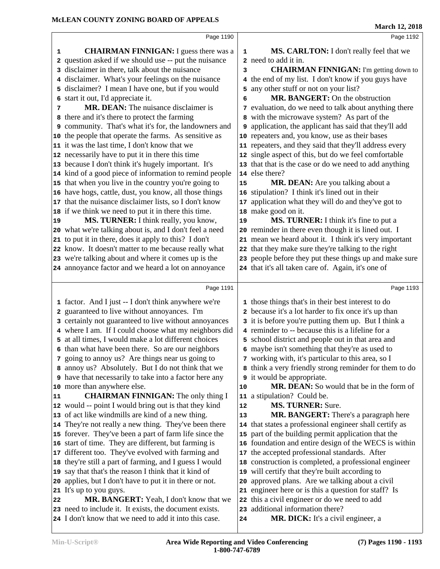|    | Page 1190                                                                                                        |    | Page 1192                                                              |  |
|----|------------------------------------------------------------------------------------------------------------------|----|------------------------------------------------------------------------|--|
| 1  | <b>CHAIRMAN FINNIGAN:</b> I guess there was a                                                                    | 1  | MS. CARLTON: I don't really feel that we                               |  |
|    | 2 question asked if we should use -- put the nuisance                                                            |    | 2 need to add it in.                                                   |  |
|    | 3 disclaimer in there, talk about the nuisance                                                                   | 3  | <b>CHAIRMAN FINNIGAN:</b> I'm getting down to                          |  |
|    | 4 disclaimer. What's your feelings on the nuisance                                                               |    | 4 the end of my list. I don't know if you guys have                    |  |
|    | 5 disclaimer? I mean I have one, but if you would                                                                |    | 5 any other stuff or not on your list?                                 |  |
| 6  | start it out, I'd appreciate it.                                                                                 | 6  | MR. BANGERT: On the obstruction                                        |  |
| 7  | <b>MR. DEAN:</b> The nuisance disclaimer is                                                                      |    | 7 evaluation, do we need to talk about anything there                  |  |
|    | 8 there and it's there to protect the farming                                                                    |    | 8 with the microwave system? As part of the                            |  |
|    | 9 community. That's what it's for, the landowners and                                                            |    | 9 application, the applicant has said that they'll add                 |  |
|    | 10 the people that operate the farms. As sensitive as                                                            |    | 10 repeaters and, you know, use as their bases                         |  |
|    | 11 it was the last time, I don't know that we                                                                    |    | 11 repeaters, and they said that they'll address every                 |  |
|    | 12 necessarily have to put it in there this time                                                                 |    | 12 single aspect of this, but do we feel comfortable                   |  |
|    | 13 because I don't think it's hugely important. It's                                                             |    | 13 that that is the case or do we need to add anything                 |  |
|    | 14 kind of a good piece of information to remind people                                                          |    | 14 else there?                                                         |  |
|    | 15 that when you live in the country you're going to                                                             | 15 | MR. DEAN: Are you talking about a                                      |  |
|    | 16 have hogs, cattle, dust, you know, all those things                                                           |    | 16 stipulation? I think it's lined out in their                        |  |
|    | 17 that the nuisance disclaimer lists, so I don't know                                                           | 17 | application what they will do and they've got to                       |  |
|    | 18 if we think we need to put it in there this time.                                                             |    | 18 make good on it.                                                    |  |
| 19 | MS. TURNER: I think really, you know,                                                                            | 19 | MS. TURNER: I think it's fine to put a                                 |  |
|    | 20 what we're talking about is, and I don't feel a need                                                          |    | 20 reminder in there even though it is lined out. I                    |  |
|    | 21 to put it in there, does it apply to this? I don't                                                            |    | 21 mean we heard about it. I think it's very important                 |  |
|    | 22 know. It doesn't matter to me because really what                                                             |    | 22 that they make sure they're talking to the right                    |  |
|    | 23 we're talking about and where it comes up is the                                                              |    | 23 people before they put these things up and make sure                |  |
|    | 24 annoyance factor and we heard a lot on annoyance                                                              |    | 24 that it's all taken care of. Again, it's one of                     |  |
|    |                                                                                                                  |    |                                                                        |  |
|    |                                                                                                                  |    |                                                                        |  |
|    | Page 1191                                                                                                        |    | Page 1193                                                              |  |
|    | 1 factor. And I just -- I don't think anywhere we're                                                             |    | 1 those things that's in their best interest to do                     |  |
| 2  | guaranteed to live without annoyances. I'm                                                                       |    | 2 because it's a lot harder to fix once it's up than                   |  |
|    | 3 certainly not guaranteed to live without annoyances                                                            |    | 3 it is before you're putting them up. But I think a                   |  |
|    | 4 where I am. If I could choose what my neighbors did                                                            |    | 4 reminder to -- because this is a lifeline for a                      |  |
|    | 5 at all times, I would make a lot different choices                                                             |    | 5 school district and people out in that area and                      |  |
|    | 6 than what have been there. So are our neighbors                                                                |    | 6 maybe isn't something that they're as used to                        |  |
|    | 7 going to annoy us? Are things near us going to                                                                 |    | 7 working with, it's particular to this area, so I                     |  |
|    | 8 annoy us? Absolutely. But I do not think that we                                                               |    | 8 think a very friendly strong reminder for them to do                 |  |
|    | <b>9</b> have that necessarily to take into a factor here any                                                    |    | <b>9</b> it would be appropriate.                                      |  |
|    | 10 more than anywhere else.                                                                                      | 10 | MR. DEAN: So would that be in the form of                              |  |
| 11 | <b>CHAIRMAN FINNIGAN:</b> The only thing I                                                                       |    | 11 a stipulation? Could be.                                            |  |
|    | 12 would -- point I would bring out is that they kind                                                            | 12 | <b>MS. TURNER: Sure.</b>                                               |  |
|    | 13 of act like windmills are kind of a new thing.                                                                | 13 | MR. BANGERT: There's a paragraph here                                  |  |
|    | 14 They're not really a new thing. They've been there                                                            |    | 14 that states a professional engineer shall certify as                |  |
|    | 15 forever. They've been a part of farm life since the                                                           |    | 15 part of the building permit application that the                    |  |
|    | 16 start of time. They are different, but farming is                                                             |    | 16 foundation and entire design of the WECS is within                  |  |
|    | 17 different too. They've evolved with farming and                                                               |    | 17 the accepted professional standards. After                          |  |
|    | 18 they're still a part of farming, and I guess I would                                                          |    | 18 construction is completed, a professional engineer                  |  |
|    | 19 say that that's the reason I think that it kind of                                                            |    | 19 will certify that they're built according to                        |  |
|    | 20 applies, but I don't have to put it in there or not.                                                          | 20 | approved plans. Are we talking about a civil                           |  |
|    | 21 It's up to you guys.                                                                                          |    | 21 engineer here or is this a question for staff? Is                   |  |
| 22 | MR. BANGERT: Yeah, I don't know that we                                                                          |    | 22 this a civil engineer or do we need to add                          |  |
|    | 23 need to include it. It exists, the document exists.<br>24 I don't know that we need to add it into this case. | 24 | 23 additional information there?<br>MR. DICK: It's a civil engineer, a |  |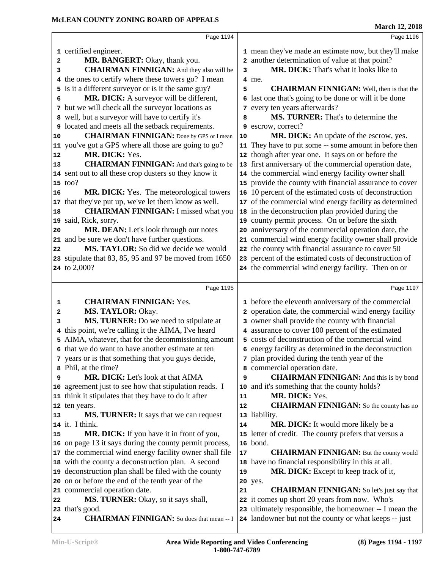| Page 1194                                                                                                 |                                                                                                                                                                                                                                                                                                                                                                                                                                                                                                                                                                                                                                                                                                                                                      | Page 1196                                                         |
|-----------------------------------------------------------------------------------------------------------|------------------------------------------------------------------------------------------------------------------------------------------------------------------------------------------------------------------------------------------------------------------------------------------------------------------------------------------------------------------------------------------------------------------------------------------------------------------------------------------------------------------------------------------------------------------------------------------------------------------------------------------------------------------------------------------------------------------------------------------------------|-------------------------------------------------------------------|
|                                                                                                           |                                                                                                                                                                                                                                                                                                                                                                                                                                                                                                                                                                                                                                                                                                                                                      | 1 mean they've made an estimate now, but they'll make             |
|                                                                                                           |                                                                                                                                                                                                                                                                                                                                                                                                                                                                                                                                                                                                                                                                                                                                                      | 2 another determination of value at that point?                   |
|                                                                                                           | 3                                                                                                                                                                                                                                                                                                                                                                                                                                                                                                                                                                                                                                                                                                                                                    | MR. DICK: That's what it looks like to                            |
|                                                                                                           |                                                                                                                                                                                                                                                                                                                                                                                                                                                                                                                                                                                                                                                                                                                                                      | 4 me.                                                             |
|                                                                                                           | 5                                                                                                                                                                                                                                                                                                                                                                                                                                                                                                                                                                                                                                                                                                                                                    | <b>CHAIRMAN FINNIGAN:</b> Well, then is that the                  |
|                                                                                                           |                                                                                                                                                                                                                                                                                                                                                                                                                                                                                                                                                                                                                                                                                                                                                      | 6 last one that's going to be done or will it be done             |
|                                                                                                           |                                                                                                                                                                                                                                                                                                                                                                                                                                                                                                                                                                                                                                                                                                                                                      | 7 every ten years afterwards?                                     |
|                                                                                                           | 8                                                                                                                                                                                                                                                                                                                                                                                                                                                                                                                                                                                                                                                                                                                                                    | MS. TURNER: That's to determine the                               |
|                                                                                                           |                                                                                                                                                                                                                                                                                                                                                                                                                                                                                                                                                                                                                                                                                                                                                      | 9 escrow, correct?                                                |
| <b>CHAIRMAN FINNIGAN:</b> Done by GPS or I mean                                                           | 10                                                                                                                                                                                                                                                                                                                                                                                                                                                                                                                                                                                                                                                                                                                                                   | MR. DICK: An update of the escrow, yes.                           |
|                                                                                                           |                                                                                                                                                                                                                                                                                                                                                                                                                                                                                                                                                                                                                                                                                                                                                      | 11 They have to put some -- some amount in before then            |
| MR. DICK: Yes.                                                                                            |                                                                                                                                                                                                                                                                                                                                                                                                                                                                                                                                                                                                                                                                                                                                                      | 12 though after year one. It says on or before the                |
| <b>CHAIRMAN FINNIGAN:</b> And that's going to be                                                          |                                                                                                                                                                                                                                                                                                                                                                                                                                                                                                                                                                                                                                                                                                                                                      | 13 first anniversary of the commercial operation date,            |
|                                                                                                           |                                                                                                                                                                                                                                                                                                                                                                                                                                                                                                                                                                                                                                                                                                                                                      | 14 the commercial wind energy facility owner shall                |
|                                                                                                           |                                                                                                                                                                                                                                                                                                                                                                                                                                                                                                                                                                                                                                                                                                                                                      | 15 provide the county with financial assurance to cover           |
| MR. DICK: Yes. The meteorological towers                                                                  |                                                                                                                                                                                                                                                                                                                                                                                                                                                                                                                                                                                                                                                                                                                                                      | 16 10 percent of the estimated costs of deconstruction            |
| that they've put up, we've let them know as well.                                                         |                                                                                                                                                                                                                                                                                                                                                                                                                                                                                                                                                                                                                                                                                                                                                      | 17 of the commercial wind energy facility as determined           |
| <b>CHAIRMAN FINNIGAN: I missed what you</b>                                                               |                                                                                                                                                                                                                                                                                                                                                                                                                                                                                                                                                                                                                                                                                                                                                      | 18 in the deconstruction plan provided during the                 |
|                                                                                                           |                                                                                                                                                                                                                                                                                                                                                                                                                                                                                                                                                                                                                                                                                                                                                      | 19 county permit process. On or before the sixth                  |
| MR. DEAN: Let's look through our notes                                                                    |                                                                                                                                                                                                                                                                                                                                                                                                                                                                                                                                                                                                                                                                                                                                                      | 20 anniversary of the commercial operation date, the              |
|                                                                                                           |                                                                                                                                                                                                                                                                                                                                                                                                                                                                                                                                                                                                                                                                                                                                                      | 21 commercial wind energy facility owner shall provide            |
| MS. TAYLOR: So did we decide we would                                                                     |                                                                                                                                                                                                                                                                                                                                                                                                                                                                                                                                                                                                                                                                                                                                                      | 22 the county with financial assurance to cover 50                |
|                                                                                                           |                                                                                                                                                                                                                                                                                                                                                                                                                                                                                                                                                                                                                                                                                                                                                      | 23 percent of the estimated costs of deconstruction of            |
|                                                                                                           |                                                                                                                                                                                                                                                                                                                                                                                                                                                                                                                                                                                                                                                                                                                                                      | 24 the commercial wind energy facility. Then on or                |
|                                                                                                           |                                                                                                                                                                                                                                                                                                                                                                                                                                                                                                                                                                                                                                                                                                                                                      |                                                                   |
| Page 1195                                                                                                 |                                                                                                                                                                                                                                                                                                                                                                                                                                                                                                                                                                                                                                                                                                                                                      | Page 1197                                                         |
|                                                                                                           |                                                                                                                                                                                                                                                                                                                                                                                                                                                                                                                                                                                                                                                                                                                                                      |                                                                   |
| <b>CHAIRMAN FINNIGAN: Yes.</b><br>1                                                                       |                                                                                                                                                                                                                                                                                                                                                                                                                                                                                                                                                                                                                                                                                                                                                      | 1 before the eleventh anniversary of the commercial               |
| MS. TAYLOR: Okay.<br>2                                                                                    |                                                                                                                                                                                                                                                                                                                                                                                                                                                                                                                                                                                                                                                                                                                                                      | 2 operation date, the commercial wind energy facility             |
| MS. TURNER: Do we need to stipulate at<br>3                                                               |                                                                                                                                                                                                                                                                                                                                                                                                                                                                                                                                                                                                                                                                                                                                                      | 3 owner shall provide the county with financial                   |
| 4 this point, we're calling it the AIMA, I've heard                                                       |                                                                                                                                                                                                                                                                                                                                                                                                                                                                                                                                                                                                                                                                                                                                                      | 4 assurance to cover 100 percent of the estimated                 |
| 5 AIMA, whatever, that for the decommissioning amount                                                     |                                                                                                                                                                                                                                                                                                                                                                                                                                                                                                                                                                                                                                                                                                                                                      | 5 costs of deconstruction of the commercial wind                  |
| 6 that we do want to have another estimate at ten                                                         |                                                                                                                                                                                                                                                                                                                                                                                                                                                                                                                                                                                                                                                                                                                                                      | 6 energy facility as determined in the deconstruction             |
| 7 years or is that something that you guys decide,                                                        |                                                                                                                                                                                                                                                                                                                                                                                                                                                                                                                                                                                                                                                                                                                                                      | 7 plan provided during the tenth year of the                      |
| 8 Phil, at the time?<br>9                                                                                 | 9                                                                                                                                                                                                                                                                                                                                                                                                                                                                                                                                                                                                                                                                                                                                                    | 8 commercial operation date.                                      |
| MR. DICK: Let's look at that AIMA                                                                         |                                                                                                                                                                                                                                                                                                                                                                                                                                                                                                                                                                                                                                                                                                                                                      | <b>CHAIRMAN FINNIGAN:</b> And this is by bond                     |
| 10 agreement just to see how that stipulation reads. I                                                    | 11                                                                                                                                                                                                                                                                                                                                                                                                                                                                                                                                                                                                                                                                                                                                                   | 10 and it's something that the county holds?<br>MR. DICK: Yes.    |
| 11 think it stipulates that they have to do it after                                                      |                                                                                                                                                                                                                                                                                                                                                                                                                                                                                                                                                                                                                                                                                                                                                      |                                                                   |
| 12 ten years.                                                                                             | 12                                                                                                                                                                                                                                                                                                                                                                                                                                                                                                                                                                                                                                                                                                                                                   | <b>CHAIRMAN FINNIGAN:</b> So the county has no<br>13 liability.   |
| <b>MS. TURNER:</b> It says that we can request<br>14 it. I think.                                         | 14                                                                                                                                                                                                                                                                                                                                                                                                                                                                                                                                                                                                                                                                                                                                                   |                                                                   |
| MR. DICK: If you have it in front of you,                                                                 |                                                                                                                                                                                                                                                                                                                                                                                                                                                                                                                                                                                                                                                                                                                                                      | <b>MR. DICK:</b> It would more likely be a                        |
|                                                                                                           |                                                                                                                                                                                                                                                                                                                                                                                                                                                                                                                                                                                                                                                                                                                                                      | 15 letter of credit. The county prefers that versus a<br>16 bond. |
| 16 on page 13 it says during the county permit process,                                                   | 17                                                                                                                                                                                                                                                                                                                                                                                                                                                                                                                                                                                                                                                                                                                                                   | <b>CHAIRMAN FINNIGAN:</b> But the county would                    |
| 17 the commercial wind energy facility owner shall file                                                   |                                                                                                                                                                                                                                                                                                                                                                                                                                                                                                                                                                                                                                                                                                                                                      | 18 have no financial responsibility in this at all.               |
| 18 with the county a deconstruction plan. A second                                                        | 19                                                                                                                                                                                                                                                                                                                                                                                                                                                                                                                                                                                                                                                                                                                                                   |                                                                   |
| 19 deconstruction plan shall be filed with the county<br>20 on or before the end of the tenth year of the |                                                                                                                                                                                                                                                                                                                                                                                                                                                                                                                                                                                                                                                                                                                                                      | MR. DICK: Except to keep track of it,<br>20 yes.                  |
| 21 commercial operation date.                                                                             | 21                                                                                                                                                                                                                                                                                                                                                                                                                                                                                                                                                                                                                                                                                                                                                   | <b>CHAIRMAN FINNIGAN:</b> So let's just say that                  |
| MS. TURNER: Okay, so it says shall,<br>22                                                                 |                                                                                                                                                                                                                                                                                                                                                                                                                                                                                                                                                                                                                                                                                                                                                      | 22 it comes up short 20 years from now. Who's                     |
| 23 that's good.                                                                                           |                                                                                                                                                                                                                                                                                                                                                                                                                                                                                                                                                                                                                                                                                                                                                      | 23 ultimately responsible, the homeowner -- I mean the            |
| 6<br>10<br>16<br>18<br>20                                                                                 | 1 certified engineer.<br>MR. BANGERT: Okay, thank you.<br>2<br><b>CHAIRMAN FINNIGAN:</b> And they also will be<br>3<br>4 the ones to certify where these towers go? I mean<br>5 is it a different surveyor or is it the same guy?<br>MR. DICK: A surveyor will be different,<br>7 but we will check all the surveyor locations as<br>8 well, but a surveyor will have to certify it's<br>9 located and meets all the setback requirements.<br>11 you've got a GPS where all those are going to go?<br>12<br>13<br>14 sent out to all these crop dusters so they know it<br>15 too?<br>17<br>19 said, Rick, sorry.<br>21 and be sure we don't have further questions.<br>22<br>23 stipulate that 83, 85, 95 and 97 be moved from 1650<br>24 to 2,000? |                                                                   |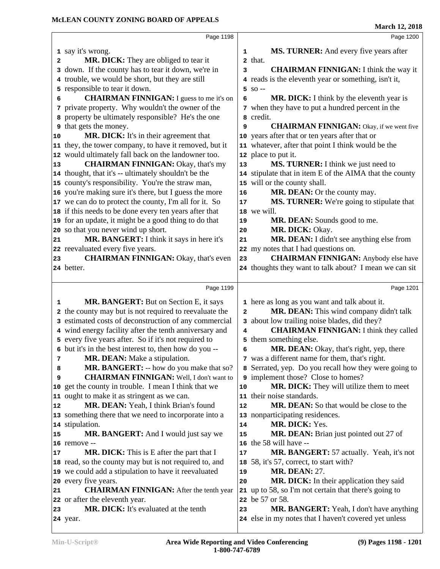|                      | Page 1198                                              |                | Page 1200                                                                                         |
|----------------------|--------------------------------------------------------|----------------|---------------------------------------------------------------------------------------------------|
|                      | 1 say it's wrong.                                      |                |                                                                                                   |
|                      |                                                        | 1              | MS. TURNER: And every five years after<br>2 that.                                                 |
| 2                    | MR. DICK: They are obliged to tear it                  |                |                                                                                                   |
|                      | 3 down. If the county has to tear it down, we're in    | 3              | <b>CHAIRMAN FINNIGAN: I think the way it</b>                                                      |
|                      | 4 trouble, we would be short, but they are still       |                | 4 reads is the eleventh year or something, isn't it,                                              |
|                      | 5 responsible to tear it down.                         |                | $5$ SO $-$                                                                                        |
| 6                    | <b>CHAIRMAN FINNIGAN:</b> I guess to me it's on        | 6              | MR. DICK: I think by the eleventh year is                                                         |
|                      | 7 private property. Why wouldn't the owner of the      |                | 7 when they have to put a hundred percent in the                                                  |
|                      | 8 property be ultimately responsible? He's the one     |                | 8 credit.                                                                                         |
|                      | <b>9</b> that gets the money.                          | 9              | <b>CHAIRMAN FINNIGAN:</b> Okay, if we went five                                                   |
| 10                   | MR. DICK: It's in their agreement that                 |                | 10 years after that or ten years after that or                                                    |
|                      | 11 they, the tower company, to have it removed, but it |                | 11 whatever, after that point I think would be the                                                |
|                      | 12 would ultimately fall back on the landowner too.    |                | 12 place to put it.                                                                               |
| 13                   | <b>CHAIRMAN FINNIGAN: Okay, that's my</b>              | 13             | MS. TURNER: I think we just need to                                                               |
|                      | 14 thought, that it's -- ultimately shouldn't be the   |                | 14 stipulate that in item E of the AIMA that the county                                           |
|                      | 15 county's responsibility. You're the straw man,      |                | 15 will or the county shall.                                                                      |
|                      | 16 you're making sure it's there, but I guess the more | 16             | MR. DEAN: Or the county may.                                                                      |
|                      | 17 we can do to protect the county, I'm all for it. So | $17$           | MS. TURNER: We're going to stipulate that                                                         |
|                      | 18 if this needs to be done every ten years after that |                | 18 we will.                                                                                       |
|                      | 19 for an update, it might be a good thing to do that  | 19             | MR. DEAN: Sounds good to me.                                                                      |
|                      | 20 so that you never wind up short.                    | 20             | MR. DICK: Okay.                                                                                   |
| 21                   | MR. BANGERT: I think it says in here it's              | 21             | MR. DEAN: I didn't see anything else from                                                         |
|                      | 22 reevaluated every five years.                       |                | 22 my notes that I had questions on.                                                              |
| 23                   | <b>CHAIRMAN FINNIGAN: Okay, that's even</b>            | 23             | <b>CHAIRMAN FINNIGAN:</b> Anybody else have                                                       |
|                      | 24 better.                                             |                | 24 thoughts they want to talk about? I mean we can sit                                            |
|                      |                                                        |                |                                                                                                   |
|                      |                                                        |                |                                                                                                   |
|                      | Page 1199                                              |                | Page 1201                                                                                         |
| 1                    | MR. BANGERT: But on Section E, it says                 |                | 1 here as long as you want and talk about it.                                                     |
|                      | 2 the county may but is not required to reevaluate the | $\overline{a}$ | MR. DEAN: This wind company didn't talk                                                           |
|                      | 3 estimated costs of deconstruction of any commercial  |                | 3 about low trailing noise blades, did they?                                                      |
|                      | 4 wind energy facility after the tenth anniversary and | 4              | <b>CHAIRMAN FINNIGAN: I think they called</b>                                                     |
|                      | 5 every five years after. So if it's not required to   |                | 5 them something else.                                                                            |
|                      | 6 but it's in the best interest to, then how do you -- | 6              | MR. DEAN: Okay, that's right, yep, there                                                          |
| 7                    | <b>MR. DEAN:</b> Make a stipulation.                   |                | 7 was a different name for them, that's right.                                                    |
| 8                    | MR. BANGERT: -- how do you make that so?               |                | 8 Serrated, yep. Do you recall how they were going to                                             |
| 9                    | <b>CHAIRMAN FINNIGAN:</b> Well, I don't want to        |                | 9 implement those? Close to homes?                                                                |
|                      | 10 get the county in trouble. I mean I think that we   | 10             | MR. DICK: They will utilize them to meet                                                          |
|                      | 11 ought to make it as stringent as we can.            |                | 11 their noise standards.                                                                         |
|                      | MR. DEAN: Yeah, I think Brian's found                  | 12             | <b>MR. DEAN:</b> So that would be close to the                                                    |
|                      | 13 something there that we need to incorporate into a  |                | 13 nonparticipating residences.                                                                   |
|                      | 14 stipulation.                                        | 14             | MR. DICK: Yes.                                                                                    |
|                      | MR. BANGERT: And I would just say we                   | 15             | MR. DEAN: Brian just pointed out 27 of                                                            |
|                      | 16 remove --                                           | 16             | the 58 will have --                                                                               |
|                      | <b>MR. DICK:</b> This is E after the part that I       | 17             | MR. BANGERT: 57 actually. Yeah, it's not                                                          |
|                      | 18 read, so the county may but is not required to, and |                | 18 58, it's 57, correct, to start with?                                                           |
|                      | 19 we could add a stipulation to have it reevaluated   | 19             | <b>MR. DEAN: 27.</b>                                                                              |
|                      | 20 every five years.                                   | 20             | MR. DICK: In their application they said                                                          |
|                      | <b>CHAIRMAN FINNIGAN:</b> After the tenth year         |                | 21 up to 58, so I'm not certain that there's going to                                             |
| 12<br>15<br>17<br>21 | 22 or after the eleventh year.                         |                | 22 be 57 or 58.                                                                                   |
| 23                   | <b>MR. DICK:</b> It's evaluated at the tenth           | 23             | MR. BANGERT: Yeah, I don't have anything<br>24 else in my notes that I haven't covered yet unless |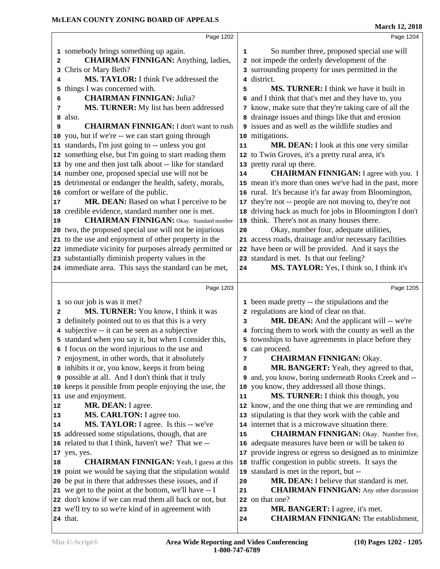|    |                                                         |    | <b>March 12, 2018</b>                                   |
|----|---------------------------------------------------------|----|---------------------------------------------------------|
|    | Page 1202                                               |    | Page 1204                                               |
|    | 1 somebody brings something up again.                   | 1  | So number three, proposed special use will              |
| 2  | <b>CHAIRMAN FINNIGAN:</b> Anything, ladies,             |    | 2 not impede the orderly development of the             |
| 3  | Chris or Mary Beth?                                     |    | 3 surrounding property for uses permitted in the        |
| 4  | <b>MS. TAYLOR:</b> I think I've addressed the           |    | 4 district.                                             |
| 5  | things I was concerned with.                            | 5  | MS. TURNER: I think we have it built in                 |
| 6  | <b>CHAIRMAN FINNIGAN: Julia?</b>                        |    | 6 and I think that that's met and they have to, you     |
| 7  | MS. TURNER: My list has been addressed                  |    | 7 know, make sure that they're taking care of all the   |
| 8  | also.                                                   |    | 8 drainage issues and things like that and erosion      |
| 9  | <b>CHAIRMAN FINNIGAN:</b> I don't want to rush          |    | 9 issues and as well as the wildlife studies and        |
|    | 10 you, but if we're -- we can start going through      |    | 10 mitigations.                                         |
|    | 11 standards, I'm just going to -- unless you got       | 11 | MR. DEAN: I look at this one very similar               |
|    | 12 something else, but I'm going to start reading them  |    | 12 to Twin Groves, it's a pretty rural area, it's       |
|    | 13 by one and then just talk about -- like for standard |    | 13 pretty rural up there.                               |
|    | 14 number one, proposed special use will not be         | 14 | <b>CHAIRMAN FINNIGAN:</b> I agree with you. I           |
|    | 15 detrimental or endanger the health, safety, morals,  |    | 15 mean it's more than ones we've had in the past, more |
|    | 16 comfort or welfare of the public.                    |    | 16 rural. It's because it's far away from Bloomington,  |
| 17 | MR. DEAN: Based on what I perceive to be                |    | 17 they're not -- people are not moving to, they're not |
|    | 18 credible evidence, standard number one is met.       |    | 18 driving back as much for jobs in Bloomington I don't |
| 19 | <b>CHAIRMAN FINNIGAN:</b> Okay. Standard number         |    | 19 think. There's not as many houses there.             |
|    | 20 two, the proposed special use will not be injurious  | 20 | Okay, number four, adequate utilities,                  |
|    | 21 to the use and enjoyment of other property in the    |    | 21 access roads, drainage and/or necessary facilities   |
|    | 22 immediate vicinity for purposes already permitted or |    | 22 have been or will be provided. And it says the       |
|    | 23 substantially diminish property values in the        |    | 23 standard is met. Is that our feeling?                |
|    | 24 immediate area. This says the standard can be met,   | 24 | MS. TAYLOR: Yes, I think so, I think it's               |
|    |                                                         |    |                                                         |
|    | Page 1203                                               |    | Page 1205                                               |
|    | 1 so our job is was it met?                             |    | 1 been made pretty -- the stipulations and the          |
| 2  | MS. TURNER: You know, I think it was                    |    | 2 regulations are kind of clear on that.                |
|    | 3 definitely pointed out to us that this is a very      | 3  | MR. DEAN: And the applicant will -- we're               |
|    | 4 subjective -- it can be seen as a subjective          |    | 4 forcing them to work with the county as well as the   |
|    | 5 standard when you say it, but when I consider this,   |    | 5 townships to have agreements in place before they     |
|    | 6 I focus on the word injurious to the use and          |    | 6 can proceed.                                          |
|    | 7 enjoyment, in other words, that it absolutely         | 7  | <b>CHAIRMAN FINNIGAN: Okay.</b>                         |
|    | 8 inhibits it or, you know, keeps it from being         | 8  | MR. BANGERT: Yeah, they agreed to that,                 |
|    | 9 possible at all. And I don't think that it truly      |    | 9 and, you know, boring underneath Rooks Creek and --   |
|    | 10 keeps it possible from people enjoying the use, the  |    | 10 you know, they addressed all those things.           |
|    | 11 use and enjoyment.                                   | 11 | MS. TURNER: I think this though, you                    |
| 12 | MR. DEAN: I agree.                                      |    | 12 know, and the one thing that we are reminding and    |
| 13 | MS. CARLTON: I agree too.                               |    | 13 stipulating is that they work with the cable and     |
| 14 | MS. TAYLOR: I agree. Is this -- we've                   |    | 14 internet that is a microwave situation there.        |
|    | 15 addressed some stipulations, though, that are        | 15 | <b>CHAIRMAN FINNIGAN:</b> Okay. Number five,            |
|    | 16 related to that I think, haven't we? That we --      |    | 16 adequate measures have been or will be taken to      |
|    | 17 yes, yes.                                            |    | 17 provide ingress or egress so designed as to minimize |
| 18 | <b>CHAIRMAN FINNIGAN:</b> Yeah, I guess at this         |    | 18 traffic congestion in public streets. It says the    |
|    | 19 point we would be saying that the stipulation would  |    | 19 standard is met in the report, but --                |
|    | 20 be put in there that addresses these issues, and if  | 20 | MR. DEAN: I believe that standard is met.               |
|    | 21 we get to the point at the bottom, we'll have -- I   | 21 | <b>CHAIRMAN FINNIGAN:</b> Any other discussion          |
|    | 22 don't know if we can read them all back or not, but  |    | 22 on that one?                                         |
|    | 23 we'll try to so we're kind of in agreement with      | 23 | MR. BANGERT: I agree, it's met.                         |
|    | <b>24</b> that.                                         | 24 | <b>CHAIRMAN FINNIGAN:</b> The establishment,            |
|    |                                                         |    |                                                         |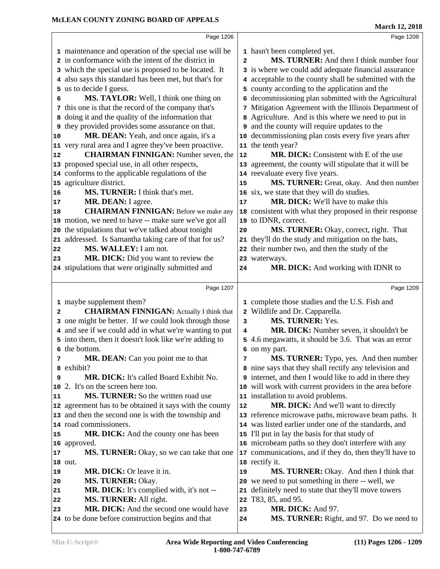|    | Page 1206                                               |                | Page 1208                                               |  |
|----|---------------------------------------------------------|----------------|---------------------------------------------------------|--|
|    | 1 maintenance and operation of the special use will be  |                | 1 hasn't been completed yet.                            |  |
|    | 2 in conformance with the intent of the district in     | $\overline{a}$ | MS. TURNER: And then I think number four                |  |
|    | 3 which the special use is proposed to be located. It   |                | 3 is where we could add adequate financial assurance    |  |
|    | 4 also says this standard has been met, but that's for  |                | 4 acceptable to the county shall be submitted with the  |  |
|    | 5 us to decide I guess.                                 |                | 5 county according to the application and the           |  |
| 6  | MS. TAYLOR: Well, I think one thing on                  |                | 6 decommissioning plan submitted with the Agricultural  |  |
|    | 7 this one is that the record of the company that's     |                | 7 Mitigation Agreement with the Illinois Department of  |  |
| 8  | doing it and the quality of the information that        |                | 8 Agriculture. And is this where we need to put in      |  |
| 9  | they provided provides some assurance on that.          |                | <b>9</b> and the county will require updates to the     |  |
| 10 | MR. DEAN: Yeah, and once again, it's a                  |                | 10 decommissioning plan costs every five years after    |  |
|    | 11 very rural area and I agree they've been proactive.  |                | 11 the tenth year?                                      |  |
| 12 | <b>CHAIRMAN FINNIGAN:</b> Number seven, the             | 12             | <b>MR. DICK:</b> Consistent with E of the use           |  |
|    | 13 proposed special use, in all other respects,         |                | 13 agreement, the county will stipulate that it will be |  |
|    | 14 conforms to the applicable regulations of the        |                | 14 reevaluate every five years.                         |  |
|    | 15 agriculture district.                                | 15             | MS. TURNER: Great, okay. And then number                |  |
| 16 | MS. TURNER: I think that's met.                         | 16             | six, we state that they will do studies.                |  |
| 17 | MR. DEAN: I agree.                                      | 17             | <b>MR. DICK:</b> We'll have to make this                |  |
| 18 | <b>CHAIRMAN FINNIGAN:</b> Before we make any            |                | 18 consistent with what they proposed in their response |  |
|    | 19 motion, we need to have -- make sure we've got all   |                | 19 to IDNR, correct.                                    |  |
|    | 20 the stipulations that we've talked about tonight     | 20             | MS. TURNER: Okay, correct, right. That                  |  |
| 21 | addressed. Is Samantha taking care of that for us?      |                | 21 they'll do the study and mitigation on the bats,     |  |
| 22 | MS. WALLEY: I am not.                                   |                | 22 their number two, and then the study of the          |  |
| 23 | MR. DICK: Did you want to review the                    |                | 23 waterways.                                           |  |
|    | 24 stipulations that were originally submitted and      | 24             | MR. DICK: And working with IDNR to                      |  |
|    |                                                         |                |                                                         |  |
|    | Page 1207                                               |                | Page 1209                                               |  |
|    | 1 maybe supplement them?                                |                | 1 complete those studies and the U.S. Fish and          |  |
| 2  | <b>CHAIRMAN FINNIGAN:</b> Actually I think that         |                | 2 Wildlife and Dr. Capparella.                          |  |
|    | 3 one might be better. If we could look through those   | 3              | MS. TURNER: Yes.                                        |  |
|    | 4 and see if we could add in what we're wanting to put  | 4              | MR. DICK: Number seven, it shouldn't be                 |  |
|    | 5 into them, then it doesn't look like we're adding to  |                | 5 4.6 megawatts, it should be 3.6. That was an error    |  |
|    | 6 the bottom.                                           |                | 6 on my part.                                           |  |
| 7  | MR. DEAN: Can you point me to that                      | 7              | MS. TURNER: Typo, yes. And then number                  |  |
|    | 8 exhibit?                                              |                | 8 nine says that they shall rectify any television and  |  |
| 9  | MR. DICK: It's called Board Exhibit No.                 |                | 9 internet, and then I would like to add in there they  |  |
| 10 | 2. It's on the screen here too.                         |                | 10 will work with current providers in the area before  |  |
| 11 | MS. TURNER: So the written road use                     |                | 11 installation to avoid problems.                      |  |
|    | 12 agreement has to be obtained it says with the county | 12             | MR. DICK: And we'll want to directly                    |  |
|    | 13 and then the second one is with the township and     |                | 13 reference microwave paths, microwave beam paths. It  |  |
|    | 14 road commissioners.                                  |                | 14 was listed earlier under one of the standards, and   |  |
| 15 | MR. DICK: And the county one has been                   |                | 15 I'll put in lay the basis for that study of          |  |
|    | 16 approved.                                            |                | 16 microbeam paths so they don't interfere with any     |  |
| 17 | MS. TURNER: Okay, so we can take that one               |                | 17 communications, and if they do, then they'll have to |  |
|    | 18 out.                                                 |                | 18 rectify it.                                          |  |
|    |                                                         |                | MS. TURNER: Okay. And then I think that                 |  |
| 19 | MR. DICK: Or leave it in.                               | 19             |                                                         |  |
| 20 | <b>MS. TURNER: Okay.</b>                                | 20             | we need to put something in there -- well, we           |  |
| 21 | MR. DICK: It's complied with, it's not --               | 21             | definitely need to state that they'll move towers       |  |
| 22 | MS. TURNER: All right.                                  | 22             | T83, 85, and 95.                                        |  |
| 23 | MR. DICK: And the second one would have                 | 23             | MR. DICK: And 97.                                       |  |
|    | 24 to be done before construction begins and that       | 24             | MS. TURNER: Right, and 97. Do we need to                |  |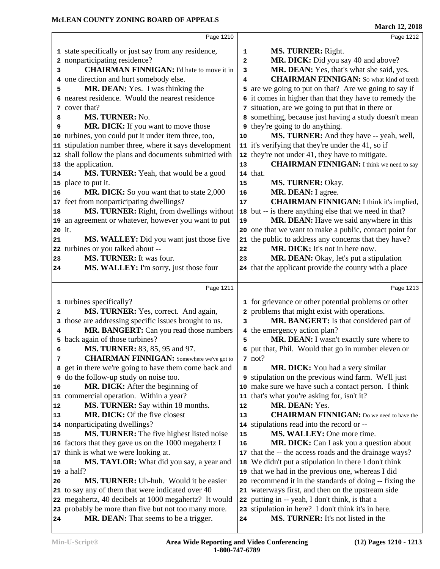|        | Page 1210                                              |                         | Page 1212                                               |
|--------|--------------------------------------------------------|-------------------------|---------------------------------------------------------|
|        | 1 state specifically or just say from any residence,   | 1                       | MS. TURNER: Right.                                      |
|        | 2 nonparticipating residence?                          | $\mathbf{z}$            | MR. DICK: Did you say 40 and above?                     |
| 3      | <b>CHAIRMAN FINNIGAN:</b> I'd hate to move it in       | 3                       | MR. DEAN: Yes, that's what she said, yes.               |
|        | 4 one direction and hurt somebody else.                | $\overline{\mathbf{4}}$ | <b>CHAIRMAN FINNIGAN:</b> So what kind of teeth         |
| 5      | MR. DEAN: Yes. I was thinking the                      |                         | 5 are we going to put on that? Are we going to say if   |
|        | 6 nearest residence. Would the nearest residence       |                         | 6 it comes in higher than that they have to remedy the  |
|        | 7 cover that?                                          |                         | 7 situation, are we going to put that in there or       |
| 8      | MS. TURNER: No.                                        |                         | 8 something, because just having a study doesn't mean   |
| 9      | MR. DICK: If you want to move those                    |                         | <b>9</b> they're going to do anything.                  |
|        | 10 turbines, you could put it under item three, too,   | 10                      | MS. TURNER: And they have -- yeah, well,                |
|        | 11 stipulation number three, where it says development |                         | 11 it's verifying that they're under the 41, so if      |
|        | 12 shall follow the plans and documents submitted with |                         | 12 they're not under 41, they have to mitigate.         |
|        | 13 the application.                                    | 13                      | <b>CHAIRMAN FINNIGAN:</b> I think we need to say        |
| 14     | MS. TURNER: Yeah, that would be a good                 |                         | 14 that.                                                |
|        | 15 place to put it.                                    | 15                      | MS. TURNER: Okay.                                       |
| 16     | MR. DICK: So you want that to state 2,000              | 16                      | MR. DEAN: I agree.                                      |
|        | 17 feet from nonparticipating dwellings?               | 17                      | <b>CHAIRMAN FINNIGAN:</b> I think it's implied,         |
| 18     | MS. TURNER: Right, from dwellings without              | 18                      | but -- is there anything else that we need in that?     |
|        | 19 an agreement or whatever, however you want to put   | 19                      | MR. DEAN: Have we said anywhere in this                 |
| 20 it. |                                                        |                         | 20 one that we want to make a public, contact point for |
| 21     | <b>MS. WALLEY:</b> Did you want just those five        | 21                      | the public to address any concerns that they have?      |
|        | 22 turbines or you talked about --                     | 22                      | MR. DICK: It's not in here now.                         |
| 23     | MS. TURNER: It was four.                               | 23                      | MR. DEAN: Okay, let's put a stipulation                 |
| 24     | MS. WALLEY: I'm sorry, just those four                 |                         | 24 that the applicant provide the county with a place   |
|        |                                                        |                         |                                                         |
|        | Page 1211                                              |                         | Page 1213                                               |
|        | 1 turbines specifically?                               |                         | 1 for grievance or other potential problems or other    |
| 2      | MS. TURNER: Yes, correct. And again,                   |                         | 2 problems that might exist with operations.            |
|        | 3 those are addressing specific issues brought to us.  | 3                       | MR. BANGERT: Is that considered part of                 |
| 4      | MR. BANGERT: Can you read those numbers                |                         | 4 the emergency action plan?                            |
|        | 5 back again of those turbines?                        | 5                       | MR. DEAN: I wasn't exactly sure where to                |
| 6      | MS. TURNER: 83, 85, 95 and 97.                         |                         | 6 put that, Phil. Would that go in number eleven or     |
| 7      | <b>CHAIRMAN FINNIGAN:</b> Somewhere we've got to       |                         | $7 \text{ not?}$                                        |
|        | 8 get in there we're going to have them come back and  | 8                       | <b>MR. DICK:</b> You had a very similar                 |
|        | <b>9</b> do the follow-up study on noise too.          |                         | 9 stipulation on the previous wind farm. We'll just     |
| 10     | MR. DICK: After the beginning of                       |                         | 10 make sure we have such a contact person. I think     |
|        | 11 commercial operation. Within a year?                | 11                      | that's what you're asking for, isn't it?                |
| 12     | MS. TURNER: Say within 18 months.                      | 12                      | MR. DEAN: Yes.                                          |
| 13     | MR. DICK: Of the five closest                          | 13                      | <b>CHAIRMAN FINNIGAN:</b> Do we need to have the        |
|        | 14 nonparticipating dwellings?                         |                         | 14 stipulations read into the record or --              |
| 15     | MS. TURNER: The five highest listed noise              | 15                      | MS. WALLEY: One more time.                              |
|        | 16 factors that they gave us on the 1000 megahertz I   | 16                      | MR. DICK: Can I ask you a question about                |
|        | 17 think is what we were looking at.                   |                         | 17 that the -- the access roads and the drainage ways?  |
| 18     | MS. TAYLOR: What did you say, a year and               |                         | 18 We didn't put a stipulation in there I don't think   |
|        | $\vert$ 19 a half?                                     |                         | 19 that we had in the previous one, whereas I did       |
|        |                                                        |                         | 20 recommend it in the standards of doing -- fixing the |
|        | MS. TURNER: Uh-huh. Would it be easier                 |                         |                                                         |
|        | 21 to say any of them that were indicated over 40      |                         | 21 waterways first, and then on the upstream side       |
|        | 22 megahertz, 40 decibels at 1000 megahertz? It would  |                         | 22 putting in -- yeah, I don't think, is that a         |
| 20     | 23 probably be more than five but not too many more.   |                         | 23 stipulation in here? I don't think it's in here.     |
| 24     | <b>MR. DEAN:</b> That seems to be a trigger.           | 24                      | MS. TURNER: It's not listed in the                      |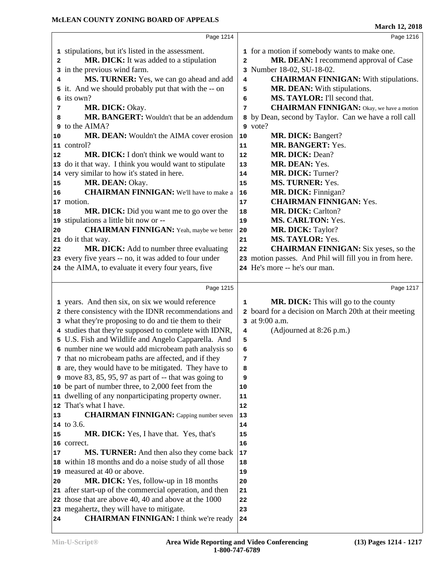|          |                                                                                            |                | <b>MARCH 12, 2010</b>                                           |
|----------|--------------------------------------------------------------------------------------------|----------------|-----------------------------------------------------------------|
|          | Page 1214                                                                                  |                | Page 1216                                                       |
|          | 1 stipulations, but it's listed in the assessment.                                         |                | 1 for a motion if somebody wants to make one.                   |
| 2        | MR. DICK: It was added to a stipulation                                                    | $\overline{a}$ | MR. DEAN: I recommend approval of Case                          |
|          | 3 in the previous wind farm.                                                               |                | 3 Number 18-02, SU-18-02.                                       |
| 4        | MS. TURNER: Yes, we can go ahead and add                                                   | 4              | <b>CHAIRMAN FINNIGAN:</b> With stipulations.                    |
|          | 5 it. And we should probably put that with the -- on                                       | 5              | MR. DEAN: With stipulations.                                    |
|          | 6 its own?                                                                                 | 6              | MS. TAYLOR: I'll second that.                                   |
|          | MR. DICK: Okay.                                                                            |                | <b>CHAIRMAN FINNIGAN:</b> Okay, we have a motion                |
| 7        |                                                                                            | 7              |                                                                 |
| 8        | MR. BANGERT: Wouldn't that be an addendum<br>9 to the AIMA?                                |                | 8 by Dean, second by Taylor. Can we have a roll call<br>9 vote? |
|          |                                                                                            |                |                                                                 |
| 10       | MR. DEAN: Wouldn't the AIMA cover erosion                                                  | 10             | MR. DICK: Bangert?                                              |
|          | 11 control?                                                                                | 11             | MR. BANGERT: Yes.                                               |
| 12       | <b>MR. DICK:</b> I don't think we would want to                                            | 12             | MR. DICK: Dean?                                                 |
|          | 13 do it that way. I think you would want to stipulate                                     | 13             | MR. DEAN: Yes.                                                  |
|          | 14 very similar to how it's stated in here.                                                | 14             | MR. DICK: Turner?                                               |
| 15       | MR. DEAN: Okay.                                                                            | 15             | <b>MS. TURNER: Yes.</b>                                         |
| 16       | <b>CHAIRMAN FINNIGAN:</b> We'll have to make a                                             | 16             | MR. DICK: Finnigan?                                             |
|          | 17 motion.                                                                                 | 17             | <b>CHAIRMAN FINNIGAN: Yes.</b>                                  |
| 18       | MR. DICK: Did you want me to go over the                                                   | 18             | MR. DICK: Carlton?                                              |
|          | 19 stipulations a little bit now or --                                                     | 19             | <b>MS. CARLTON: Yes.</b>                                        |
| 20       | <b>CHAIRMAN FINNIGAN:</b> Yeah, maybe we better                                            | ${\bf 20}$     | MR. DICK: Taylor?                                               |
|          | 21 do it that way.                                                                         | 21             | MS. TAYLOR: Yes.                                                |
| 22       | MR. DICK: Add to number three evaluating                                                   | 22             | <b>CHAIRMAN FINNIGAN:</b> Six yeses, so the                     |
|          | 23 every five years -- no, it was added to four under                                      |                | 23 motion passes. And Phil will fill you in from here.          |
|          | 24 the AIMA, to evaluate it every four years, five                                         |                | 24 He's more -- he's our man.                                   |
|          |                                                                                            |                |                                                                 |
|          |                                                                                            |                |                                                                 |
|          | Page 1215                                                                                  |                | Page 1217                                                       |
|          |                                                                                            |                |                                                                 |
|          | 1 years. And then six, on six we would reference                                           | 1              | MR. DICK: This will go to the county                            |
|          | 2 there consistency with the IDNR recommendations and                                      |                | 2 board for a decision on March 20th at their meeting           |
|          | 3 what they're proposing to do and tie them to their                                       |                | 3 at 9:00 a.m.                                                  |
|          | 4 studies that they're supposed to complete with IDNR,                                     | 4              | (Adjourned at 8:26 p.m.)                                        |
|          | 5 U.S. Fish and Wildlife and Angelo Capparella. And                                        | 5              |                                                                 |
|          | 6 number nine we would add microbeam path analysis so                                      | 6              |                                                                 |
|          | 7 that no microbeam paths are affected, and if they                                        | 7              |                                                                 |
|          | 8 are, they would have to be mitigated. They have to                                       | 8              |                                                                 |
|          | 9 move 83, 85, 95, 97 as part of $-$ that was going to                                     | 9              |                                                                 |
|          | 10 be part of number three, to 2,000 feet from the                                         | 10             |                                                                 |
|          | 11 dwelling of any nonparticipating property owner.                                        | 11             |                                                                 |
| 12       | That's what I have.                                                                        | 12             |                                                                 |
| 13       | <b>CHAIRMAN FINNIGAN:</b> Capping number seven                                             | 13             |                                                                 |
|          | 14 to 3.6.                                                                                 | 14             |                                                                 |
| 15       | <b>MR. DICK:</b> Yes, I have that. Yes, that's                                             | 15             |                                                                 |
|          | 16 correct.                                                                                | 16             |                                                                 |
| 17       |                                                                                            | 17             |                                                                 |
|          | MS. TURNER: And then also they come back                                                   |                |                                                                 |
| 18       | within 18 months and do a noise study of all those                                         | 18             |                                                                 |
|          | 19 measured at 40 or above.                                                                | 19             |                                                                 |
|          | MR. DICK: Yes, follow-up in 18 months                                                      | 20             |                                                                 |
| 20<br>21 | after start-up of the commercial operation, and then                                       | 21             |                                                                 |
|          | 22 those that are above 40, 40 and above at the 1000                                       | 22             |                                                                 |
| 24       | 23 megahertz, they will have to mitigate.<br><b>CHAIRMAN FINNIGAN:</b> I think we're ready | 23<br>24       |                                                                 |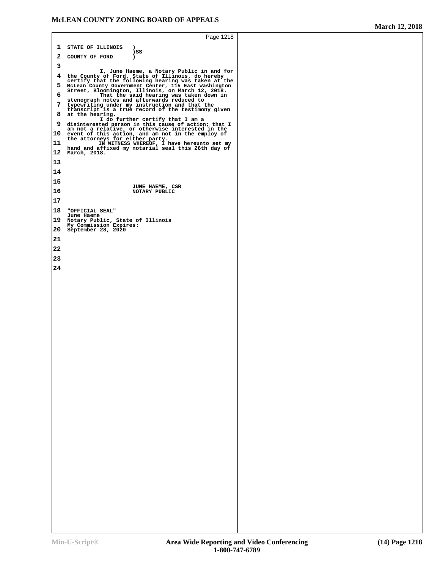```
Page 1218
 1 STATE OF ILLINOIS ) )SS
 2 COUNTY OF FORD ) 
 3
 I, June Haeme, a Notary Public in and for
4 the County of Ford, State of Illinois, do hereby certify that the following hearing was taken at the
5 McLean County Government Center, 115 East Washington Street, Bloomington, Illinois, on March 12, 2018.
6 That the said hearing was taken down in stenograph notes and afterwards reduced to
7 typewriting under my instruction and that the transcript is a true record of the testimony given
8 at the hearing. I do further certify that I am a
9 disinterested person in this cause of action; that I am not a relative, or otherwise interested in the
10 event of this action, and am not in the employ of the attorneys for either party.
11 IN WITNESS WHEREOF, I have hereunto set my<br>
hand and affixed my notarial seal this 26th day of<br>
<b>12<br>
12
13

14

15
 JUNE HAEME, CSR
16 NOTARY PUBLIC 
17
18 "OFFICIAL SEAL"
18 "OFFICIAL SEAL" June Haeme 19 Notary Public, State of Illinois My Commission Expires:
20 September 28, 2020 
21

22

23

24
```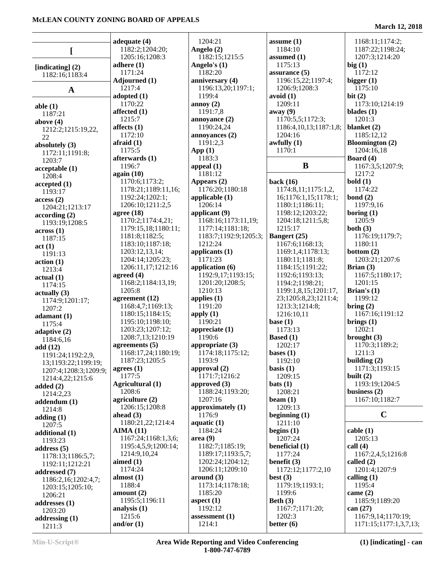|                                       | adequate (4)         | 1204:21               | assume $(1)$                | 1168:11;1174:2;        |
|---------------------------------------|----------------------|-----------------------|-----------------------------|------------------------|
|                                       | 1182:2;1204:20;      | Angelo (2)            | 1184:10                     | 1187:22;1198:24;       |
|                                       | 1205:16;1208:3       | 1182:15;1215:5        | assumed $(1)$               | 1207:3;1214:20         |
| [indicating] $(2)$                    | adhere $(1)$         | Angelo's $(1)$        | 1175:13                     | big(1)                 |
| 1182:16;1183:4                        | 1171:24              | 1182:20               | assurance $(5)$             | 1172:12                |
|                                       | Adjourned (1)        | anniversary (4)       | 1196:15,22;1197:4;          | bigger $(1)$           |
|                                       | 1217:4               | 1196:13,20;1197:1;    | 1206:9;1208:3               | 1175:10                |
| $\mathbf A$                           | adopted $(1)$        | 1199:4                | avoid(1)                    | bit(2)                 |
|                                       | 1170:22              | annoy $(2)$           | 1209:11                     | 1173:10;1214:19        |
| able $(1)$                            | affected (1)         | 1191:7,8              | away (9)                    | blades $(1)$           |
| 1187:21                               | 1215:7               |                       | 1170:5,5;1172:3;            |                        |
| above $(4)$                           |                      | annoyance $(2)$       |                             | 1201:3                 |
| 1212:2;1215:19,22,                    | affects $(1)$        | 1190:24,24            | 1186:4, 10, 13; 1187: 1, 8; | blanket (2)            |
| 22                                    | 1172:10              | annoyances (2)        | 1204:16                     | 1185:12,12             |
| absolutely $(3)$                      | $\text{affraid}$ (1) | 1191:2,3              | awfully $(1)$               | <b>Bloomington</b> (2) |
| 1172:11;1191:8;                       | 1175:5               | App $(1)$             | 1170:1                      | 1204:16,18             |
| 1203:7                                | afterwards (1)       | 1183:3                |                             | Board $(4)$            |
| acceptable(1)                         | 1196:7               | appeal $(1)$          | $\bf{B}$                    | 1167:3,5;1207:9;       |
| 1208:4                                | again(10)            | 1181:12               |                             | 1217:2                 |
| accepted(1)                           | 1170:6;1173:2;       | Appears (2)           | back $(16)$                 | bold(1)                |
| 1193:17                               | 1178:21;1189:11,16;  | 1176:20;1180:18       | 1174:8,11;1175:1,2,         | 1174:22                |
| access(2)                             | 1192:24;1202:1;      | applicable $(1)$      | 16;1176:1,15;1178:1;        | bond $(2)$             |
|                                       | 1206:10;1211:2,5     | 1206:14               | 1180:1;1186:11;             | 1197:9,16              |
| 1204:21;1213:17                       | agree $(18)$         | applicant (9)         | 1198:12;1203:22;            | boring $(1)$           |
| according(2)                          | 1170:2;1174:4,21;    | 1168:16;1173:11,19;   | 1204:18;1211:5,8;           | 1205:9                 |
| 1193:19;1208:5                        | 1179:15,18;1180:11;  | 1177:14;1181:18;      | 1215:17                     | both $(3)$             |
| across(1)                             | 1181:8;1182:5;       | 1183:7;1192:9;1205:3; |                             | 1176:19;1179:7;        |
| 1187:15                               |                      |                       | <b>Bangert</b> (25)         |                        |
| act(1)                                | 1183:10;1187:18;     | 1212:24               | 1167:6;1168:13;             | 1180:11                |
| 1191:13                               | 1203:12,13,14;       | applicants (1)        | 1169:1,4;1178:13;           | bottom $(2)$           |
| action(1)                             | 1204:14;1205:23;     | 1171:23               | 1180:11;1181:8;             | 1203:21;1207:6         |
| 1213:4                                | 1206:11,17;1212:16   | application (6)       | 1184:15;1191:22;            | Brian $(3)$            |
| actual(1)                             | agreed (4)           | 1192:9,17;1193:15;    | 1192:6;1193:13;             | 1167:5;1180:17;        |
| 1174:15                               | 1168:2;1184:13,19;   | 1201:20;1208:5;       | 1194:2;1198:21;             | 1201:15                |
| $\left( \text{actually } (3) \right)$ | 1205:8               | 1210:13               | 1199:1,8,15;1201:17,        | Brian's $(1)$          |
| 1174:9;1201:17;                       | agreement (12)       | applies $(1)$         | 23;1205:8,23;1211:4;        | 1199:12                |
| 1207:2                                | 1168:4,7;1169:13;    | 1191:20               | 1213:3;1214:8;              | bring $(2)$            |
| adamant(1)                            | 1180:15;1184:15;     | apply $(1)$           | 1216:10,11                  | 1167:16;1191:12        |
| 1175:4                                | 1195:10;1198:10;     | 1190:21               | base $(1)$                  | brings $(1)$           |
|                                       | 1203:23;1207:12;     | appreciate $(1)$      | 1173:13                     | 1202:1                 |
| adaptive $(2)$                        | 1208:7,13;1210:19    | 1190:6                | <b>Based</b> (1)            | brought $(3)$          |
| 1184:6,16                             | agreements $(5)$     | appropriate (3)       | 1202:17                     | 1170:3;1189:2;         |
| add(12)                               | 1168:17,24;1180:19;  | 1174:18;1175:12;      |                             | 1211:3                 |
| 1191:24;1192:2,9,                     |                      |                       | bases $(1)$                 | building $(2)$         |
| 13;1193:22;1199:19;                   | 1187:23;1205:5       | 1193:9                | 1192:10                     |                        |
| 1207:4;1208:3;1209:9;                 | agrees $(1)$         | approval $(2)$        | basis $(1)$                 | 1171:3;1193:15         |
| 1214:4,22;1215:6                      | 1177:5               | 1171:7;1216:2         | 1209:15                     | built $(2)$            |
| added $(2)$                           | Agricultural (1)     | approved $(3)$        | bats(1)                     | 1193:19;1204:5         |
| 1214:2,23                             | 1208:6               | 1188:24;1193:20;      | 1208:21                     | business $(2)$         |
| addendum(1)                           | agriculture (2)      | 1207:16               | beam $(1)$                  | 1167:10;1182:7         |
| 1214:8                                | 1206:15;1208:8       | approximately $(1)$   | 1209:13                     |                        |
| adding $(1)$                          | ahead $(3)$          | 1176:9                | beginning $(1)$             | $\mathbf C$            |
| 1207:5                                | 1180:21,22;1214:4    | aquatic $(1)$         | 1211:10                     |                        |
| additional (1)                        | AIMA(11)             | 1184:24               | begins $(1)$                | cable(1)               |
| 1193:23                               | 1167:24;1168:1,3,6;  | area(9)               | 1207:24                     | 1205:13                |
| address $(5)$                         | 1195:4,5,9;1200:14;  | 1182:7;1185:19;       | beneficial (1)              | call $(4)$             |
| 1178:13;1186:5,7;                     | 1214:9,10,24         | 1189:17;1193:5,7;     | 1177:24                     | 1167:2,4,5;1216:8      |
|                                       | aimed $(1)$          | 1202:24;1204:12;      | benefit $(3)$               | called $(2)$           |
| 1192:11;1212:21                       | 1174:24              | 1206:11;1209:10       | 1172:12;1177:2,10           | 1201:4;1207:9          |
| addressed (7)                         | almost $(1)$         | around (3)            | best $(3)$                  | calling $(1)$          |
| 1186:2,16;1202:4,7;                   | 1188:4               | 1173:14;1178:18;      | 1179:19;1193:1;             | 1195:4                 |
| 1203:15;1205:10;                      |                      |                       |                             |                        |
| 1206:21                               | amount $(2)$         | 1185:20               | 1199:6                      | came $(2)$             |
| addresses $(1)$                       | 1195:5;1196:11       | aspect $(1)$          | Beth $(3)$                  | 1185:9;1189:20         |
| 1203:20                               | analysis $(1)$       | 1192:12               | 1167:7;1171:20;             | can $(27)$             |
| addressing (1)                        | 1215:6               | assessment $(1)$      | 1202:3                      | 1167:9,14;1170:19;     |
| 1211:3                                | and/or $(1)$         | 1214:1                | better $(6)$                | 1171:15;1177:1,3,7,13; |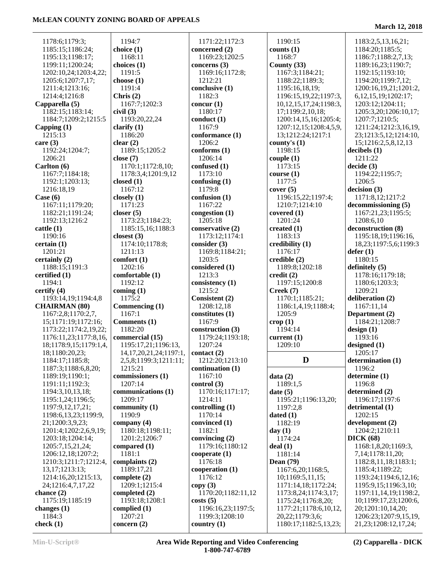| 1178:6;1179:3;         | 1194:7                       | 1171:22;1172:3     | 1190:15                      | 1183:2,5,13,16,21;        |
|------------------------|------------------------------|--------------------|------------------------------|---------------------------|
| 1185:15;1186:24;       | choice $(1)$                 | concerned (2)      | counts $(1)$                 | 1184:20;1185:5;           |
| 1195:13;1198:17;       | 1168:11                      | 1169:23;1202:5     | 1168:7                       | 1186:7;1188:2,7,13;       |
| 1199:11;1200:24;       | choices $(1)$                | concerns $(3)$     | County $(33)$                | 1189:16,23;1190:7;        |
| 1202:10,24;1203:4,22;  | 1191:5                       | 1169:16;1172:8;    | 1167:3;1184:21;              | 1192:15;1193:10;          |
| 1205:6;1207:7,17;      | choose $(1)$                 | 1212:21            | 1188:22;1189:3;              | 1194:20:1199:7,12;        |
| 1211:4;1213:16;        | 1191:4                       | conclusive (1)     | 1195:16,18,19;               | 1200:16,19,21;1201:2,     |
| 1214:4;1216:8          | Chris $(2)$                  | 1182:3             | 1196:15,19,22;1197:3,        | 6, 12, 15, 19; 1202: 17;  |
| Capparella (5)         | 1167:7;1202:3                | concur $(1)$       | 10, 12, 15, 17, 24; 1198: 3, | 1203:12;1204:11;          |
| 1182:15;1183:14;       | civil(3)                     | 1180:17            | 17;1199:2,10,18;             | 1205:3,20;1206:10,17;     |
| 1184:7;1209:2;1215:5   | 1193:20,22,24                | conduct (1)        | 1200:14,15,16;1205:4;        | 1207:7;1210:5;            |
| Capping $(1)$          | clarify $(1)$                | 1167:9             | 1207:12,15;1208:4,5,9,       | 1211:24;1212:3,16,19,     |
| 1215:13                | 1186:20                      | conformance (1)    | 13;1212:24;1217:1            | 23;1213:5,12;1214:10,     |
| care $(3)$             | clear $(2)$                  | 1206:2             | county's $(1)$               | 15;1216:2,5,8,12,13       |
| 1192:24;1204:7;        | 1189:15;1205:2               | conforms (1)       | 1198:15                      | decibels $(1)$            |
| 1206:21                |                              | 1206:14            |                              | 1211:22                   |
|                        | close $(7)$                  |                    | couple(1)                    |                           |
| Carlton (6)            | 1170:1;1172:8,10;            | confused (1)       | 1173:15                      | decide(3)                 |
| 1167:7;1184:18;        | 1178:3,4;1201:9,12           | 1173:10            | course(1)                    | 1194:22;1195:7;           |
| 1192:1;1203:13;        | closed $(1)$                 | confusing $(1)$    | 1177:5                       | 1206:5                    |
| 1216:18,19             | 1167:12                      | 1179:8             | cover(5)                     | decision(3)               |
| Case $(6)$             | closely $(1)$                | confusion (1)      | 1196:15,22;1197:4;           | 1171:8,12;1217:2          |
| 1167:11;1179:20;       | 1171:23                      | 1167:22            | 1210:7;1214:10               | decommissioning (5)       |
| 1182:21;1191:24;       | closer $(5)$                 | congestion (1)     | covered $(1)$                | 1167:21,23;1195:5;        |
| 1192:13;1216:2         | 1173:23;1184:23;             | 1205:18            | 1201:24                      | 1208:6,10                 |
| cattle(1)              | 1185:15,16;1188:3            | conservative (2)   | created $(1)$                | deconstruction (8)        |
| 1190:16                | closest $(3)$                | 1173:12;1174:1     | 1183:13                      | 1195:18,19;1196:16,       |
| certain(1)             | 1174:10;1178:8;              | consider $(3)$     | credibility (1)              | 18,23;1197:5,6;1199:3     |
| 1201:21                | 1211:13                      | 1169:8;1184:21;    | 1176:17                      | defer(1)                  |
| certainly (2)          | comfort $(1)$                | 1203:5             | $\bf{c}$ redible $(2)$       | 1180:15                   |
| 1188:15;1191:3         | 1202:16                      | considered (1)     | 1189:8;1202:18               | definitely $(5)$          |
| certified (1)          | comfortable (1)              | 1213:3             | $\text{credit}(2)$           | 1178:16;1179:18;          |
| 1194:1                 | 1192:12                      | consistency (1)    | 1197:15;1200:8               | 1180:6;1203:3;            |
| certify $(4)$          | coming $(1)$                 | 1215:2             | Creek (7)                    | 1209:21                   |
| 1193:14,19;1194:4,8    | 1175:2                       | Consistent (2)     | 1170:1;1185:21;              | deliberation (2)          |
|                        |                              |                    |                              |                           |
| <b>CHAIRMAN (80)</b>   | Commencing (1)               | 1208:12,18         | 1186:1,4,19;1188:4;          | 1167:11,14                |
| 1167:2,8;1170:2,7,     | 1167:1                       | constitutes (1)    | 1205:9                       | Department (2)            |
| 15;1171:19;1172:16;    | Comments (1)                 | 1167:9             | $\text{crop}(1)$             | 1184:21;1208:7            |
| 1173:22;1174:2,19,22;  | 1182:20                      | construction (3)   | 1194:14                      | design(1)                 |
| 1176:11,23;1177:8,16,  | commercial (15)              | 1179:24;1193:18;   | current $(1)$                | 1193:16                   |
| 18;1178:9,15;1179:1,4, | 1195:17,21;1196:13,          | 1207:24            | 1209:10                      | designed $(1)$            |
| 18;1180:20,23;         | 14, 17, 20, 21, 24; 1197: 1, | contact(2)         |                              | 1205:17                   |
| 1184:17;1185:8;        | 2,5,8;1199:3;1211:11;        | 1212:20;1213:10    | D                            | determination (1)         |
| 1187:3;1188:6,8,20;    | 1215:21                      | continuation (1)   |                              | 1196:2                    |
| 1189:19;1190:1;        | commissioners (1)            | 1167:10            | data(2)                      | determine (1)             |
| 1191:11;1192:3;        | 1207:14                      | control(3)         | 1189:1,5                     | 1196:8                    |
| 1194:3,10,13,18;       | communications (1)           | 1170:16;1171:17;   | date(5)                      | determined (2)            |
| 1195:1,24;1196:5;      | 1209:17                      | 1214:11            | 1195:21;1196:13,20;          | 1196:17:1197:6            |
| 1197:9,12,17,21;       | community $(1)$              | controlling $(1)$  | 1197:2,8                     | detrimental (1)           |
| 1198:6,13,23;1199:9,   | 1190:9                       | 1170:14            | data(1)                      | 1202:15                   |
| 21;1200:3,9,23;        | company $(4)$                | convinced (1)      | 1182:19                      | development (2)           |
| 1201:4;1202:2,6,9,19;  | 1180:18;1198:11;             | 1182:1             | day $(1)$                    | 1204:2;1210:11            |
| 1203:18;1204:14;       | 1201:2;1206:7                | convincing $(2)$   | 1174:24                      | DICK(68)                  |
| 1205:7,15,21,24;       | compared $(1)$               | 1179:16;1180:12    | deal(1)                      | 1168:1,8,20;1169:3,       |
| 1206:12,18;1207:2;     | 1181:1                       | cooperate $(1)$    | 1181:14                      | 7, 14; 1178: 11, 20;      |
|                        |                              | 1176:18            |                              | 1182:8,11,18;1183:1;      |
| 1210:3;1211:7;1212:4,  | complaints $(2)$             |                    | <b>Dean</b> (79)             |                           |
| 13, 17; 1213: 13;      | 1189:17,21                   | cooperation $(1)$  | 1167:6,20;1168:5,            | 1185:4;1189:22;           |
| 1214:16,20;1215:13,    | complete $(2)$               | 1176:12            | 10;1169:5,11,15;             | 1193:24;1194:6,12,16;     |
| 24;1216:4,7,17,22      | 1209:1;1215:4                | copy(3)            | 1171:14,18;1172:24;          | 1195:9,15;1196:3,10;      |
| chance $(2)$           | completed $(2)$              | 1170:20;1182:11,12 | 1173:8,24;1174:3,17;         | 1197:11,14,19;1198:2,     |
| 1175:19;1185:19        | 1193:18;1208:1               | costs(5)           | 1175:24;1176:8,20;           | 10;1199:17,23;1200:6,     |
| changes $(1)$          | complied $(1)$               | 1196:16,23;1197:5; | 1177:21;1178:6,10,12,        | 20;1201:10,14,20;         |
| 1184:3                 | 1207:21                      | 1199:3;1208:10     | 20,22;1179:3,6;              | 1206:23;1207:9,15,19,     |
| check $(1)$            | concern $(2)$                | country $(1)$      | 1180:17;1182:5,13,23;        | 21, 23; 1208: 12, 17, 24; |
|                        |                              |                    |                              |                           |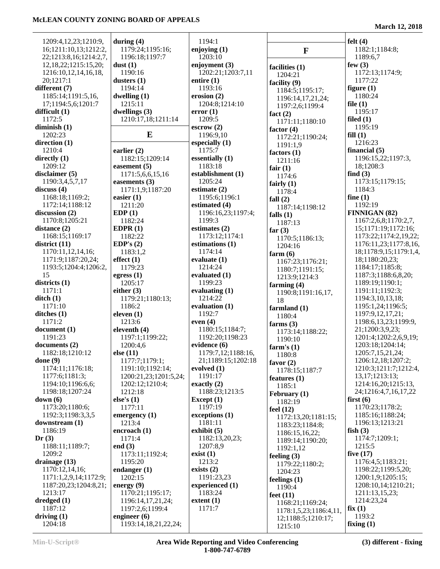| 1209:4,12,23;1210:9,                  | during $(4)$                           | 1194:1                             |                                     | felt $(4)$                             |
|---------------------------------------|----------------------------------------|------------------------------------|-------------------------------------|----------------------------------------|
| 16;1211:10,13;1212:2,                 | 1179:24;1195:16;                       | enjoying $(1)$                     | $\mathbf F$                         | 1182:1;1184:8;                         |
| 22;1213:8,16;1214:2,7,                | 1196:18;1197:7                         | 1203:10                            |                                     | 1189:6,7                               |
| 12, 18, 22; 1215: 15, 20;             | dust(1)                                | enjoyment (3)                      | facilities (1)                      | few $(3)$                              |
| 1216:10,12,14,16,18,                  | 1190:16                                | 1202:21;1203:7,11                  | 1204:21                             | 1172:13;1174:9;                        |
| 20;1217:1                             | dusters $(1)$                          | entire $(1)$                       | facility (9)                        | 1177:22                                |
| different (7)                         | 1194:14                                | 1193:16                            | 1184:5;1195:17;                     | figure $(1)$                           |
| 1185:14;1191:5,16,                    | dwelling $(1)$<br>1215:11              | erosion $(2)$<br>1204:8;1214:10    | 1196:14,17,21,24;                   | 1180:24                                |
| 17;1194:5,6;1201:7<br>difficult $(1)$ | dwellings $(3)$                        | error(1)                           | 1197:2,6;1199:4                     | file $(1)$<br>1195:17                  |
| 1172:5                                | 1210:17,18;1211:14                     | 1209:5                             | fact $(2)$                          | filed $(1)$                            |
| diminish $(1)$                        |                                        | $\text{escrow}(2)$                 | 1171:11;1180:10<br>factor $(4)$     | 1195:19                                |
| 1202:23                               | E                                      | 1196:9,10                          | 1172:21;1190:24;                    | fill(1)                                |
| direction (1)                         |                                        | especially $(1)$                   | 1191:1,9                            | 1216:23                                |
| 1210:4                                | earlier $(2)$                          | 1175:7                             | factors $(1)$                       | financial $(5)$                        |
| directly $(1)$                        | 1182:15;1209:14                        | essentially (1)                    | 1211:16                             | 1196:15,22;1197:3,                     |
| 1209:12                               | easement (5)                           | 1183:18                            | fair $(1)$                          | 18;1208:3                              |
| disclaimer $(5)$                      | 1171:5,6,6,15,16                       | establishment (1)<br>1205:24       | 1174:6                              | find $(3)$                             |
| 1190:3,4,5,7,17<br>discuss (4)        | easements $(3)$<br>1171:1,9;1187:20    | estimate $(2)$                     | fairly $(1)$                        | 1173:15;1179:15;<br>1184:3             |
| 1168:18;1169:2;                       | easier $(1)$                           | 1195:6;1196:1                      | 1178:4                              | fine $(1)$                             |
| 1172:14;1188:12                       | 1211:20                                | estimated (4)                      | fall $(2)$<br>1187:14;1198:12       | 1192:19                                |
| discussion $(2)$                      | EDP(1)                                 | 1196:16,23;1197:4;                 | falls $(1)$                         | FINNIGAN (82)                          |
| 1170:8;1205:21                        | 1182:24                                | 1199:3                             | 1187:13                             | 1167:2,6,8;1170:2,7,                   |
| distance (2)                          | EDPR $(1)$                             | estimates (2)                      | far $(3)$                           | 15;1171:19;1172:16;                    |
| 1168:15;1169:17                       | 1182:22                                | 1173:12;1174:1                     | 1170:5;1186:13;                     | 1173:22;1174:2,19,22;                  |
| district $(11)$                       | EDP's $(2)$                            | estimations (1)                    | 1204:16                             | 1176:11,23;1177:8,16,                  |
| 1170:11,12,14,16;                     | 1183:1,2                               | 1174:14                            | farm $(6)$                          | 18;1178:9,15;1179:1,4,                 |
| 1171:9;1187:20,24;                    | effect(1)                              | evaluate $(1)$                     | 1167:23;1176:21;                    | 18;1180:20,23;                         |
| 1193:5;1204:4;1206:2,<br>15           | 1179:23<br>egress $(1)$                | 1214:24<br>evaluated (1)           | 1180:7;1191:15;                     | 1184:17;1185:8;<br>1187:3;1188:6,8,20; |
| districts $(1)$                       | 1205:17                                | 1199:23                            | 1213:9;1214:3                       | 1189:19;1190:1;                        |
| 1171:1                                | either $(3)$                           | evaluating $(1)$                   | farming $(4)$<br>1190:8;1191:16,17, | 1191:11;1192:3;                        |
| $\text{ditch}(1)$                     | 1179:21;1180:13;                       | 1214:22                            | 18                                  | 1194:3,10,13,18;                       |
| 1171:10                               | 1186:2                                 | evaluation $(1)$                   | farmland (1)                        | 1195:1,24;1196:5;                      |
| ditches $(1)$                         | eleven $(1)$                           | 1192:7                             | 1180:4                              | 1197:9,12,17,21;                       |
| 1171:2                                | 1213:6                                 | even $(4)$                         | farms $(3)$                         | 1198:6,13,23;1199:9,                   |
| document (1)                          | eleventh $(4)$                         | 1180:15;1184:7;                    | 1173:14;1188:22;                    | 21;1200:3,9,23;                        |
| 1191:23                               | 1197:1;1199:22;                        | 1192:20;1198:23                    | 1190:10                             | 1201:4;1202:2,6,9,19;                  |
| documents (2)<br>1182:18;1210:12      | 1200:4,6                               | evidence (6)<br>1179:7,12;1188:16, | farm's $(1)$                        | 1203:18;1204:14;<br>1205:7,15,21,24;   |
| done $(9)$                            | else $(11)$<br>1177:7;1179:1;          | 21;1189:15;1202:18                 | 1180:8                              | 1206:12,18;1207:2;                     |
| 1174:11;1176:18;                      | 1191:10;1192:14;                       | evolved $(1)$                      | favor $(2)$                         | 1210:3;1211:7;1212:4,                  |
| 1177:6;1181:3;                        | 1200:21,23;1201:5,24;                  | 1191:17                            | 1178:15;1187:7<br>features $(1)$    | 13, 17; 1213: 13;                      |
| 1194:10;1196:6,6;                     | 1202:12;1210:4;                        | exactly $(2)$                      | 1185:1                              | 1214:16,20;1215:13,                    |
| 1198:18;1207:24                       | 1212:18                                | 1188:23;1213:5                     | February (1)                        | 24;1216:4,7,16,17,22                   |
| down(6)                               | else's $(1)$                           | Except $(1)$                       | 1182:19                             | first $(6)$                            |
| 1173:20;1180:6;                       | 1177:11                                | 1197:19                            | feel $(12)$                         | 1170:23;1178:2;                        |
| 1192:3;1198:3,3,5                     | emergency $(1)$                        | exceptions (1)                     | 1172:13,20;1181:15;                 | 1185:16;1188:24;                       |
| downstream (1)<br>1186:19             | 1213:4                                 | 1181:11<br>exhibit $(5)$           | 1183:23;1184:8;                     | 1196:13;1213:21<br>fish $(3)$          |
| Dr(3)                                 | encroach (1)<br>1171:4                 | 1182:13,20,23;                     | 1186:15,16,22;                      | 1174:7;1209:1;                         |
| 1188:11;1189:7;                       | end $(3)$                              | 1207:8,9                           | 1189:14;1190:20;                    | 1215:5                                 |
| 1209:2                                | 1173:11;1192:4;                        | exist $(1)$                        | 1192:1,12                           | five $(17)$                            |
| drainage (13)                         | 1195:20                                | 1213:2                             | feeling $(3)$<br>1179:22;1180:2;    | 1176:4,5;1183:21;                      |
| 1170:12,14,16;                        | endanger $(1)$                         | exists $(2)$                       | 1204:23                             | 1198:22;1199:5,20;                     |
| 1171:1,2,9,14;1172:9;                 | 1202:15                                | 1191:23,23                         | feelings $(1)$                      | 1200:1,9;1205:15;                      |
| 1187:20,23;1204:8,21;                 | energy $(9)$                           | experienced (1)                    | 1190:4                              | 1208:10,14;1210:21;                    |
| 1213:17                               | 1170:21;1195:17;                       | 1183:24                            | feet $(11)$                         | 1211:13,15,23;                         |
| dredged(1)                            | 1196:14,17,21,24;                      | extent(1)                          | 1168:21;1169:24;                    | 1214:23,24                             |
| 1187:12                               | 1197:2,6;1199:4                        | 1171:7                             | 1178:1,5,23;1186:4,11,              | fix(1)                                 |
| driving $(1)$<br>1204:18              | engineer $(6)$<br>1193:14,18,21,22,24; |                                    | 12;1188:5;1210:17;                  | 1193:2<br>fixing $(1)$                 |
|                                       |                                        |                                    | 1215:10                             |                                        |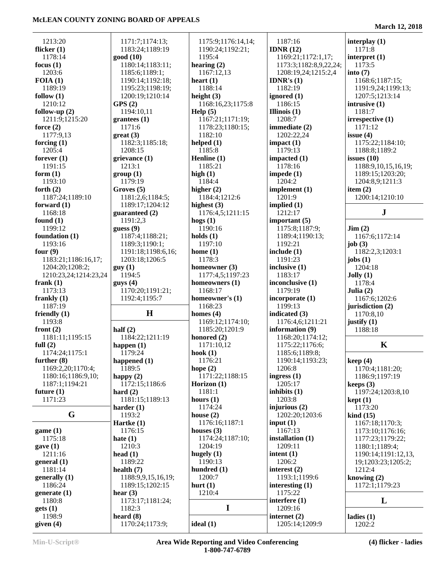| 1213:20               | 1171:7;1174:13;    | 1175:9;1176:14,14; | 1187:16                | interplay $(1)$                   |
|-----------------------|--------------------|--------------------|------------------------|-----------------------------------|
| flicker $(1)$         | 1183:24;1189:19    | 1190:24;1192:21;   | IDNR $(12)$            | 1171:8                            |
| 1178:14               | good(10)           | 1195:4             | 1169:21;1172:1,17;     | interpret (1)                     |
| focus $(1)$           | 1180:14;1183:11;   | hearing $(2)$      | 1173:3;1182:8,9,22,24; | 1173:5                            |
| 1203:6                |                    |                    |                        |                                   |
|                       | 1185:6;1189:1;     | 1167:12,13         | 1208:19,24;1215:2,4    | into $(7)$                        |
| FOIA(1)               | 1190:14;1192:18;   | heart $(1)$        | <b>IDNR's</b> $(1)$    | 1168:6;1187:15;                   |
| 1189:19               | 1195:23;1198:19;   | 1188:14            | 1182:19                | 1191:9,24;1199:13;                |
| follow $(1)$          | 1200:19;1210:14    | height $(3)$       | ignored $(1)$          | 1207:5;1213:14                    |
| 1210:12               | GPS(2)             | 1168:16,23;1175:8  | 1186:15                | intrusive (1)                     |
| follow-up $(2)$       | 1194:10,11         | Help (5)           | Illinois $(1)$         | 1181:7                            |
| 1211:9;1215:20        | grantees(1)        | 1167:21;1171:19;   | 1208:7                 | irrespective (1)                  |
| force $(2)$           | 1171:6             | 1178:23;1180:15;   | immediate (2)          | 1171:12                           |
| 1177:9,13             | $gr(3)$            | 1182:10            | 1202:22,24             | issue $(4)$                       |
| forcing $(1)$         | 1182:3;1185:18;    | helped $(1)$       | impact(1)              | 1175:22;1184:10;                  |
| 1205:4                | 1208:15            | 1185:8             | 1179:13                | 1188:8;1189:2                     |
| forever $(1)$         | grievance (1)      | Henline $(1)$      | impacted (1)           | issues $(10)$                     |
| 1191:15               | 1213:1             | 1185:21            | 1178:16                | 1188:9,10,15,16,19;               |
|                       |                    |                    |                        |                                   |
| form $(1)$            | group(1)           | high $(1)$         | impede $(1)$           | 1189:15;1203:20;                  |
| 1193:10               | 1179:19            | 1184:4             | 1204:2                 | 1204:8,9;1211:3                   |
| forth $(2)$           | Groves (5)         | higher $(2)$       | implement $(1)$        | item $(2)$                        |
| 1187:24;1189:10       | 1181:2,6;1184:5;   | 1184:4;1212:6      | 1201:9                 | 1200:14;1210:10                   |
| forward $(1)$         | 1189:17;1204:12    | highest $(3)$      | implied $(1)$          |                                   |
| 1168:18               | guaranteed (2)     | 1176:4,5;1211:15   | 1212:17                | ${\bf J}$                         |
| found $(1)$           | 1191:2,3           | hogs $(1)$         | important $(5)$        |                                   |
| 1199:12               | guess $(9)$        | 1190:16            | 1175:8;1187:9;         | $\text{Jim} (2)$                  |
| foundation $(1)$      | 1187:4;1188:21;    | holds $(1)$        | 1189:4;1190:13;        | 1167:6;1172:14                    |
| 1193:16               | 1189:3;1190:1;     | 1197:10            | 1192:21                | job $(3)$                         |
| four $(9)$            | 1191:18;1198:6,16; | home $(1)$         | include $(1)$          | 1182:2,3;1203:1                   |
|                       |                    | 1178:3             | 1191:23                |                                   |
| 1183:21;1186:16,17;   | 1203:18;1206:5     |                    |                        | jobs $(1)$                        |
| 1204:20;1208:2;       | guy(1)             | homeowner (3)      | inclusive (1)          | 1204:18                           |
| 1210:23,24;1214:23,24 | 1194:5             | 1177:4,5;1197:23   | 1183:17                | Jolly(1)                          |
| frank $(1)$           | $g$ uys $(4)$      | homeowners (1)     | inconclusive (1)       | 1178:4                            |
| 1173:13               | 1170:20;1191:21;   | 1168:17            | 1179:19                | Julia $(2)$                       |
| frankly $(1)$         | 1192:4;1195:7      | homeowner's (1)    | incorporate (1)        | 1167:6;1202:6                     |
| 1187:19               |                    | 1168:23            | 1199:13                | jurisdiction (2)                  |
| friendly $(1)$        | H                  | homes $(4)$        | indicated (3)          | 1170:8,10                         |
| 1193:8                |                    | 1169:12;1174:10;   | 1176:4,6;1211:21       | justify $(1)$                     |
| front $(2)$           | half $(2)$         | 1185:20;1201:9     | information (9)        | 1188:18                           |
| 1181:11;1195:15       | 1184:22;1211:19    | honored (2)        | 1168:20;1174:12;       |                                   |
| full $(2)$            | happen $(1)$       | 1171:10,12         | 1175:22;1176:6;        | $\bf K$                           |
| 1174:24;1175:1        | 1179:24            | hook $(1)$         | 1185:6;1189:8;         |                                   |
| further $(8)$         | happened $(1)$     | 1176:21            | 1190:14;1193:23;       |                                   |
|                       |                    |                    |                        | keep(4)                           |
| 1169:2,20;1170:4;     | 1189:5             | hope $(2)$         | 1206:8                 | 1170:4;1181:20;                   |
| 1180:16;1186:9,10;    | happy $(2)$        | 1171:22;1188:15    | ingress $(1)$          | 1186:9;1197:19                    |
| 1187:1;1194:21        | 1172:15;1186:6     | Horizon (1)        | 1205:17                | keeps $(3)$                       |
| future $(1)$          | hard $(2)$         | 1181:1             | inhibits $(1)$         | 1197:24;1203:8,10                 |
| 1171:23               | 1181:15;1189:13    | hours $(1)$        | 1203:8                 | kept(1)                           |
|                       | harder $(1)$       | 1174:24            | injurious $(2)$        | 1173:20                           |
| G                     | 1193:2             | house $(2)$        | 1202:20;1203:6         | $\boldsymbol{\mathrm{kind}}$ (15) |
|                       | Hartke $(1)$       | 1176:16;1187:1     | input $(1)$            | 1167:18;1170:3;                   |
| game(1)               | 1176:15            | houses $(3)$       | 1167:13                | 1173:10;1176:16;                  |
| 1175:18               | hate $(1)$         | 1174:24;1187:10;   | installation $(1)$     | 1177:23;1179:22;                  |
| gave(1)               | 1210:3             | 1204:19            | 1209:11                | 1180:1;1189:4;                    |
| 1211:16               | head $(1)$         | hugely $(1)$       | intent $(1)$           | 1190:14;1191:12,13,               |
| general(1)            | 1189:22            | 1190:13            | 1206:2                 | 19;1203:23;1205:2;                |
| 1181:14               | health $(7)$       | hundred $(1)$      | interest $(2)$         | 1212:4                            |
|                       |                    |                    |                        |                                   |
| generally (1)         |                    | 1200:7             | 1193:1;1199:6          | knowing $(2)$                     |
|                       | 1188:9,9,15,16,19; |                    |                        |                                   |
| 1186:24               | 1189:15;1202:15    | hurt $(1)$         | interesting $(1)$      | 1172:1;1179:23                    |
| generate $(1)$        | hear $(3)$         | 1210:4             | 1175:22                |                                   |
| 1180:8                | 1173:17;1181:24;   |                    | interfere $(1)$        | L                                 |
| gets(1)               | 1182:3             | $\mathbf I$        | 1209:16                |                                   |
| 1198:9                | heard $(8)$        |                    | internet $(2)$         |                                   |
| given $(4)$           | 1170:24;1173:9;    | ideal(1)           | 1205:14;1209:9         | ladies $(1)$<br>1202:2            |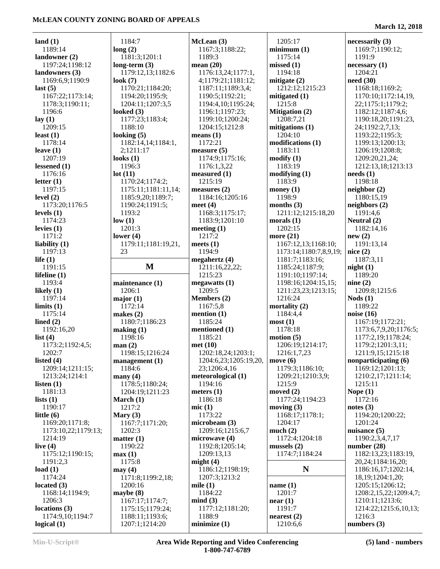÷

| land $(1)$                        | 1184:7                            | McLean (3)            | 1205:17                   | necessarily (3)         |
|-----------------------------------|-----------------------------------|-----------------------|---------------------------|-------------------------|
| 1189:14                           | long(2)                           | 1167:3;1188:22;       | minimum(1)                | 1169:7;1190:12;         |
| landowner $(2)$                   | 1181:3;1201:1                     | 1189:3                | 1175:14                   | 1191:9                  |
| 1197:24;1198:12                   | long-term $(3)$                   | mean $(20)$           | missed(1)                 | necessary(1)            |
| landowners (3)                    | 1179:12,13;1182:6                 | 1176:13,24;1177:1,    | 1194:18                   | 1204:21                 |
| 1169:6,9;1190:9                   | look $(7)$                        | 4;1179:21;1181:12;    | mitigate $(2)$            | need $(30)$             |
| last(5)                           | 1170:21;1184:20;                  | 1187:11;1189:3,4;     | 1212:12;1215:23           | 1168:18;1169:2;         |
| 1167:22;1173:14;                  | 1194:20;1195:9;                   | 1190:5;1192:21;       | mitigated $(1)$           | 1170:10;1172:14,19,     |
| 1178:3;1190:11;                   | 1204:11;1207:3,5                  | 1194:4,10;1195:24;    | 1215:8                    | 22;1175:1;1179:2;       |
| 1196:6                            | looked $(3)$                      | 1196:1;1197:23;       | <b>Mitigation (2)</b>     | 1182:12;1187:4,6;       |
| lay(1)                            | 1177:23;1183:4;                   | 1199:10;1200:24;      | 1208:7,21                 | 1190:18,20;1191:23,     |
| 1209:15                           | 1188:10                           |                       | mitigations (1)           | 24;1192:2,7,13;         |
|                                   |                                   | 1204:15;1212:8        |                           |                         |
| least $(1)$                       | looking $(5)$                     | means $(1)$           | 1204:10                   | 1193:22;1195:3;         |
| 1178:14                           | 1182:14,14;1184:1,                | 1172:21               | modifications (1)         | 1199:13;1200:13;        |
| leave $(1)$                       | 2;1211:17                         | measure $(5)$         | 1183:11                   | 1206:19;1208:8;         |
| 1207:19                           | looks $(1)$                       | 1174:9;1175:16;       | $\text{modify}(1)$        | 1209:20,21,24;          |
| lessened $(1)$                    | 1196:3                            | 1176:1,3,22           | 1183:19                   | 1212:13,18;1213:13      |
| 1176:16                           | lot(11)                           | measured $(1)$        | modifying (1)             | needs(1)                |
| letter $(1)$                      | 1170:24;1174:2;                   | 1215:19               | 1183:9                    | 1198:18                 |
| 1197:15                           | 1175:11;1181:11,14;               | measures $(2)$        | money $(1)$               | neighbor(2)             |
| level $(2)$                       | 1185:9,20;1189:7;                 | 1184:16;1205:16       | 1198:9                    | 1180:15,19              |
| 1173:20;1176:5                    | 1190:24;1191:5;                   | meet $(4)$            | months $(3)$              | neighbors (2)           |
| levels $(1)$                      | 1193:2                            | 1168:3;1175:17;       | 1211:12;1215:18,20        | 1191:4,6                |
| 1174:23                           | low(1)                            | 1183:9;1201:10        | morals $(1)$              | Neutral (2)             |
| levies $(1)$                      | 1201:3                            | meeting $(1)$         | 1202:15                   | 1182:14,16              |
| 1171:2                            | lower $(4)$                       | 1217:2                | more (21)                 | new(2)                  |
| liability $(1)$                   | 1179:11;1181:19,21,               | meets $(1)$           | 1167:12,13;1168:10;       | 1191:13,14              |
| 1197:13                           | 23                                | 1194:9                | 1173:14;1180:7,8,9,19;    | nice(2)                 |
| life $(1)$                        |                                   | megahertz $(4)$       | 1181:7;1183:16;           | 1187:3,11               |
| 1191:15                           | $\mathbf{M}$                      | 1211:16,22,22;        | 1185:24;1187:9;           | night(1)                |
| lifeline $(1)$                    |                                   | 1215:23               | 1191:10;1197:14;          | 1189:20                 |
|                                   |                                   |                       |                           |                         |
|                                   |                                   |                       |                           |                         |
| 1193:4                            | maintenance (1)                   | megawatts(1)          | 1198:16;1204:15,15;       | nine(2)                 |
| likely $(1)$                      | 1206:1                            | 1209:5                | 1211:23,23;1213:15;       | 1209:8;1215:6           |
| 1197:14                           | major(1)                          | Members (2)           | 1216:24                   | $\textbf{Nods}$ (1)     |
| $\lim$ its (1)                    | 1172:14                           | 1167:5,8              | mortality $(2)$           | 1189:22                 |
| 1175:14                           | makes $(2)$                       | mention $(1)$         | 1184:4,4                  | noise $(16)$            |
| lined $(2)$                       | 1180:7;1186:23                    | 1185:24               | most(1)                   | 1167:19;1172:21;        |
| 1192:16,20                        | making (1)                        | mentioned (1)         | 1178:18                   | 1173:6,7,9,20;1176:5;   |
| list $(4)$                        | 1198:16                           | 1185:21               | motion (5)                | 1177:2,19;1178:24;      |
| 1173:2;1192:4,5;                  | man(2)                            | met(10)               | 1206:19;1214:17;          | 1179:2;1201:3,11;       |
| 1202:7                            | 1198:15;1216:24                   | 1202:18,24;1203:1;    | 1216:1,7,23               | 1211:9,15;1215:18       |
| listed $(4)$                      | $management (1)$                  | 1204:6,23;1205:19,20, | move $(6)$                | nonparticipating (6)    |
| 1209:14;1211:15;                  | 1184:6                            | 23;1206:4,16          | 1179:3;1186:10;           | 1169:12;1201:13;        |
| 1213:24;1214:1                    | many(4)                           | meteorological (1)    | 1209:21;1210:3,9;         | 1210:2,17;1211:14;      |
| listen $(1)$                      | 1178:5;1180:24;                   | 1194:16               | 1215:9                    | 1215:11                 |
| 1181:13                           | 1204:19;1211:23                   | meters $(1)$          | moved $(2)$               | Nope $(1)$              |
| lists $(1)$                       | March $(1)$                       | 1186:18               | 1177:24;1194:23           | 1172:16                 |
| 1190:17                           | 1217:2                            | mic(1)                | moving $(3)$              | notes $(3)$             |
| little $(6)$                      | Mary $(3)$                        | 1173:22               | 1168:17;1178:1;           | 1194:20;1200:22;        |
| 1169:20;1171:8;                   | 1167:7;1171:20;                   | microbeam (3)         | 1204:17                   | 1201:24                 |
| 1173:10,22;1179:13;               | 1202:3                            | 1209:16;1215:6,7      | much(2)                   | nuisance $(5)$          |
| 1214:19                           | matter (1)                        | microwave (4)         | 1172:4;1204:18            | 1190:2,3,4,7,17         |
| live $(4)$                        | 1190:22                           | 1192:8;1205:14;       | mussels $(2)$             | number $(28)$           |
| 1175:12;1190:15;                  | max(1)                            | 1209:13,13            | 1174:7;1184:24            | 1182:13,23;1183:19,     |
| 1191:2,3                          | 1175:8                            | might $(4)$           |                           | 20, 24; 1184: 16, 20;   |
| load $(1)$                        | may(4)                            | 1186:12;1198:19;      | N                         | 1186:16,17;1202:14,     |
| 1174:24                           | 1171:8;1199:2,18;                 | 1207:3;1213:2         |                           | 18, 19; 1204: 1, 20;    |
| located $(3)$                     | 1200:16                           | mile $(1)$            | name $(1)$                | 1205:15;1206:12;        |
| 1168:14;1194:9;                   | maybe $(8)$                       | 1184:22               | 1201:7                    | 1208:2,15,22;1209:4,7;  |
| 1206:3                            | 1167:17;1174:7;                   | mind(3)               | near(1)                   | 1210:11;1213:6;         |
| locations(3)                      | 1175:15;1179:24;                  | 1177:12;1181:20;      | 1191:7                    | 1214:22;1215:6,10,13;   |
| 1174:9,10;1194:7<br>logical $(1)$ | 1188:11;1193:6;<br>1207:1;1214:20 | 1188:9<br>minimize(1) | nearest $(2)$<br>1210:6,6 | 1216:3<br>numbers $(3)$ |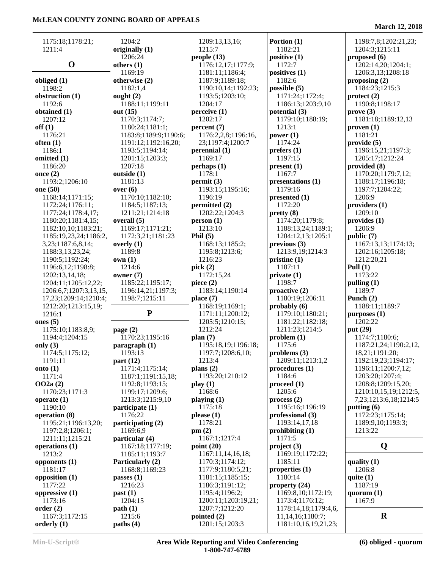| 1175:18;1178:21;       | 1204:2                | 1209:13,13,16;      | Portion (1)                            | 1198:7,8;1202:21,23;  |
|------------------------|-----------------------|---------------------|----------------------------------------|-----------------------|
| 1211:4                 | originally (1)        | 1215:7              | 1182:21                                | 1204:3;1215:11        |
|                        | 1206:24               | people $(13)$       | positive (1)                           | proposed $(6)$        |
| $\mathbf 0$            | others $(1)$          | 1176:12,17;1177:9;  | 1172:7                                 | 1202:14,20;1204:1;    |
|                        | 1169:19               | 1181:11;1186:4;     | positives (1)                          | 1206:3,13;1208:18     |
| obliged $(1)$          | otherwise (2)         | 1187:9;1189:18;     | 1182:6                                 | proposing $(2)$       |
| 1198:2                 | 1182:1,4              | 1190:10,14;1192:23; | possible (5)                           | 1184:23;1215:3        |
|                        |                       |                     |                                        |                       |
| obstruction (1)        | ought $(2)$           | 1193:5;1203:10;     | 1171:24;1172:4;                        | $\text{protect}(2)$   |
| 1192:6                 | 1188:11;1199:11       | 1204:17             | 1186:13;1203:9,10                      | 1190:8;1198:17        |
| obtained (1)           | out (15)              | perceive (1)        | potential (3)                          | prove(3)              |
| 1207:12                | 1170:3;1174:7;        | 1202:17             | 1179:10;1188:19;                       | 1181:18;1189:12,13    |
| off(1)                 | 1180:24;1181:1;       | percent(7)          | 1213:1                                 | proven(1)             |
| 1176:21                | 1183:8;1189:9;1190:6; | 1176:2,2,8;1196:16, | power $(1)$                            | 1181:21               |
| often $(1)$            | 1191:12;1192:16,20;   | 23;1197:4;1200:7    | 1174:24                                | provide(5)            |
| 1186:1                 | 1193:5;1194:14;       | perennial $(1)$     | prefers (1)                            | 1196:15,21;1197:3;    |
| omitted (1)            | 1201:15;1203:3;       | 1169:17             | 1197:15                                | 1205:17;1212:24       |
| 1186:20                | 1207:18               | perhaps (1)         | present(1)                             | provided (8)          |
| once $(2)$             | outside (1)           | 1178:1              | 1167:7                                 | 1170:20;1179:7,12;    |
| 1193:2;1206:10         | 1181:13               | permit(3)           | presentations (1)                      | 1188:17;1196:18;      |
| one (50)               | over(6)               | 1193:15;1195:16;    | 1179:16                                | 1197:7;1204:22;       |
| 1168:14;1171:15;       | 1170:10;1182:10;      | 1196:19             | presented (1)                          | 1206:9                |
| 1172:24;1176:11;       | 1184:5;1187:13;       | permitted (2)       | 1172:20                                | providers (1)         |
| 1177:24;1178:4,17;     | 1211:21;1214:18       | 1202:22;1204:3      | pretty(8)                              | 1209:10               |
| 1180:20;1181:4,15;     | overall (5)           | person(1)           | 1174:20;1179:8;                        | provides (1)          |
| 1182:10,10;1183:21;    | 1169:17;1171:21;      | 1213:10             | 1188:13,24;1189:1;                     | 1206:9                |
| 1185:19,23,24;1186:2,  | 1172:3,21;1181:23     | Phil $(5)$          | 1204:12,13:1205:1                      | public (7)            |
| 3,23;1187:6,8,14;      | overly $(1)$          | 1168:13;1185:2;     | previous(3)                            | 1167:13,13;1174:13;   |
| 1188:3,13,23,24;       | 1189:8                | 1195:8;1213:6;      | 1213:9,19;1214:3                       | 1202:16;1205:18;      |
| 1190:5;1192:24;        | own(1)                | 1216:23             | pristine(1)                            | 1212:20,21            |
| 1196:6,12;1198:8;      | 1214:6                | pick $(2)$          | 1187:11                                | Pull $(1)$            |
| 1202:13,14,18;         | owner $(7)$           | 1172:15,24          | private(1)                             | 1173:22               |
| 1204:11;1205:12,22;    | 1185:22;1195:17;      | piece $(2)$         | 1198:7                                 | pulling $(1)$         |
|                        | 1196:14,21;1197:3;    | 1183:14;1190:14     | proactive (2)                          | 1189:7                |
| 1206:6,7;1207:3,13,15, |                       |                     | 1180:19;1206:11                        | Punch (2)             |
| 17,23;1209:14;1210:4;  | 1198:7;1215:11        | place $(7)$         |                                        |                       |
| 1212:20;1213:15,19;    | ${\bf P}$             | 1168:19;1169:1;     | probability(6)                         | 1188:11;1189:7        |
| 1216:1                 |                       | 1171:11;1200:12;    | 1179:10;1180:21;                       | $p$ urposes $(1)$     |
| ones $(5)$             |                       | 1205:5;1210:15;     | 1181:22;1182:18;                       | 1202:22               |
| 1175:10;1183:8,9;      | page $(2)$            | 1212:24             | 1211:23;1214:5                         | put (29)              |
| 1194:4;1204:15         | 1170:23;1195:16       | plan(7)             | problem(1)                             | 1174:7;1180:6;        |
| only $(3)$             | paragnch(1)           | 1195:18,19;1196:18; | 1175:6                                 | 1187:21,24;1190:2,12, |
| 1174:5;1175:12;        | 1193:13               | 1197:7;1208:6,10;   | problems $(3)$                         | 18,21;1191:20;        |
| 1191:11                | part $(12)$           | 1213:4              | 1209:11;1213:1,2                       | 1192:19,23;1194:17;   |
| onto $(1)$             | 1171:4;1175:14;       | plans $(2)$         | procedures (1)                         | 1196:11;1200:7,12;    |
| 1171:4                 | 1187:1;1191:15,18;    | 1193:20;1210:12     | 1184:6                                 | 1203:20;1207:4;       |
| OO2a(2)                | 1192:8;1193:15;       | play(1)             | $\boldsymbol{proceed}\boldsymbol{(1)}$ | 1208:8;1209:15,20;    |
| 1170:23;1171:3         | 1199:17;1209:6;       | 1168:6              | 1205:6                                 | 1210:10,15,19;1212:5, |
| operate $(1)$          | 1213:3;1215:9,10      | playing $(1)$       | process(2)                             | 7,23;1213:6,18;1214:5 |
| 1190:10                | participate (1)       | 1175:18             | 1195:16;1196:19                        | putting (6)           |
| operation (8)          | 1176:22               | please(1)           | professional (3)                       | 1172:23;1175:14;      |
| 1195:21;1196:13,20;    | participating (2)     | 1178:21             | 1193:14,17,18                          | 1189:9,10;1193:3;     |
| 1197:2,8;1206:1;       | 1169:6,9              | pm(2)               | prohibiting $(1)$                      | 1213:22               |
| 1211:11;1215:21        | particular (4)        | 1167:1;1217:4       | 1171:5                                 |                       |
| operations (1)         | 1167:18;1177:19;      | point (20)          | project(3)                             | Q                     |
| 1213:2                 | 1185:11;1193:7        | 1167:11,14,16,18;   | 1169:19;1172:22;                       |                       |
| opponents $(1)$        | Particularly (2)      | 1170:3;1174:12;     | 1185:11                                | quality $(1)$         |
| 1181:17                | 1168:8;1169:23        | 1177:9;1180:5,21;   | properties $(1)$                       | 1206:8                |
| opposition $(1)$       | passes $(1)$          | 1181:15;1185:15;    | 1180:14                                | quite $(1)$           |
| 1177:22                | 1216:23               | 1186:3;1191:12;     | property $(24)$                        | 1187:19               |
| oppressive $(1)$       | past(1)               | 1195:4;1196:2;      | 1169:8,10;1172:19;                     | quorum $(1)$          |
| 1173:16                | 1204:15               | 1200:11;1203:19,21; | 1173:4;1176:12;                        | 1167:9                |
| order(2)               | path(1)               | 1207:7;1212:20      | 1178:14,18;1179:4,6,                   |                       |
| 1167:3;1172:15         | 1215:6                | pointed $(2)$       | 11,14,16;1180:7;                       | $\bf R$               |
| orderly $(1)$          | paths(4)              | 1201:15;1203:3      |                                        |                       |
|                        |                       |                     | 1181:10,16,19,21,23;                   |                       |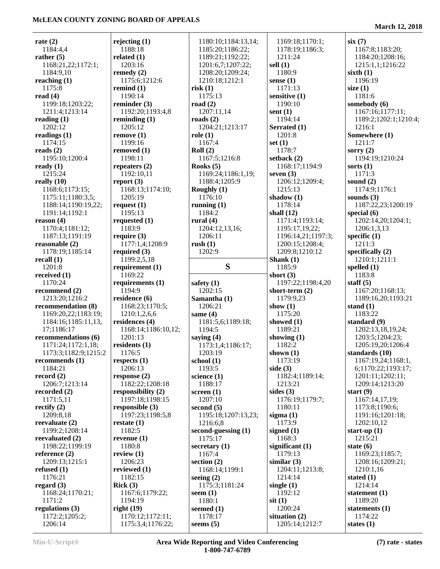| rate $(2)$                                 | rejecting $(1)$                       | 1180:10;1184:13,14;         | 1169:18;1170:1;                   | six(7)                  |
|--------------------------------------------|---------------------------------------|-----------------------------|-----------------------------------|-------------------------|
| 1184:4,4                                   | 1188:18                               | 1185:20;1186:22;            | 1178:19;1186:3;                   | 1167:8;1183:20;         |
| rather $(5)$                               | related $(1)$                         | 1189:21;1192:22;            | 1211:24                           | 1184:20;1208:16;        |
| 1168:21,22;1172:1;                         | 1203:16                               | 1201:6,7;1207:22;           | sell $(1)$                        | 1215:1,1;1216:22        |
| 1184:9,10                                  | remedy $(2)$                          | 1208:20;1209:24;            | 1180:9                            | sixth $(1)$             |
| reaching $(1)$                             | 1175:6;1212:6                         | 1210:18;1212:1              | sense $(1)$                       | 1196:19                 |
| 1175:8                                     | remind $(1)$                          | risk(1)                     | 1171:13                           | size $(1)$              |
| read $(4)$                                 | 1190:14                               | 1175:13                     | sensitive $(1)$                   | 1181:6                  |
| 1199:18;1203:22;                           | reminder $(3)$                        | road $(2)$                  | 1190:10                           | somebody (6)            |
| 1211:4;1213:14                             | 1192:20;1193:4,8                      | 1207:11,14                  | sent $(1)$                        | 1167:16;1177:11;        |
| reading $(1)$                              | reminding $(1)$                       | roads $(2)$                 | 1194:14                           | 1189:2;1202:1;1210:4;   |
| 1202:12                                    | 1205:12                               | 1204:21;1213:17             | Serrated (1)                      | 1216:1                  |
| readings $(1)$                             | remove(1)                             | role(1)                     | 1201:8                            | Somewhere (1)           |
| 1174:15                                    | 1199:16                               | 1167:4                      | set $(1)$                         | 1211:7                  |
| reads $(2)$                                | removed $(1)$                         | Roll $(2)$                  | 1178:7                            | sorry $(2)$             |
| 1195:10;1200:4                             | 1198:11                               | 1167:5;1216:8               | setback $(2)$                     | 1194:19;1210:24         |
| ready $(1)$                                | repeaters $(2)$                       | Rooks $(5)$                 | 1168:17;1194:9                    | sorts $(1)$             |
| 1215:24                                    | 1192:10,11                            | 1169:24;1186:1,19;          | seven $(3)$                       | 1171:3                  |
| really $(10)$                              | report $(3)$                          | 1188:4;1205:9               | 1206:12;1209:4;                   | sound $(2)$             |
| 1168:6;1173:15;                            | 1168:13;1174:10;                      | Roughly $(1)$               | 1215:13                           | 1174:9;1176:1           |
| 1175:11;1180:3,5;                          | 1205:19                               | 1176:10                     | shadow $(1)$                      | sounds $(3)$            |
| 1188:14;1190:19,22;                        | request $(1)$                         | running $(1)$               | 1178:14                           | 1187:22,23;1200:19      |
| 1191:14;1192:1                             | 1195:13                               | 1184:2                      | shall $(12)$                      | special $(6)$           |
| reason $(4)$                               | requested $(1)$                       | rural $(4)$                 | 1171:4;1193:14;                   | 1202:14,20;1204:1;      |
| 1170:4;1181:12;                            | 1183:9                                | 1204:12,13,16;              | 1195:17,19,22;                    | 1206:1,3,13             |
| 1187:13;1191:19                            | require $(3)$                         | 1206:11                     | 1196:14,21;1197:3;                | specific $(1)$          |
| reasonable (2)                             | 1177:1,4;1208:9                       | rush(1)                     | 1200:15;1208:4;                   | 1211:3                  |
| 1178:19;1185:14                            | required $(3)$                        | 1202:9                      | 1209:8;1210:12                    | specifically $(2)$      |
| recall $(1)$                               | 1199:2,5,18                           |                             | Shank $(1)$                       | 1210:1;1211:1           |
| 1201:8                                     | requirement $(1)$                     | S                           | 1185:9                            | spelled $(1)$           |
| received $(1)$                             | 1169:22                               |                             | short $(3)$                       | 1183:8                  |
| 1170:24                                    |                                       |                             |                                   |                         |
|                                            |                                       |                             |                                   |                         |
|                                            | requirements $(1)$                    | safety $(1)$                | 1197:22;1198:4,20                 | staff $(5)$             |
| recommend $(2)$                            | 1194:9                                | 1202:15                     | short-term $(2)$                  | 1167:20;1168:13;        |
| 1213:20;1216:2                             | residence $(6)$                       | Samantha (1)                | 1179:9,23                         | 1189:16,20;1193:21      |
| recommendation (8)                         | 1168:23;1170:5;<br>1210:1,2,6,6       | 1206:21                     | show $(1)$<br>1175:20             | stand $(1)$<br>1183:22  |
| 1169:20,22;1183:19;<br>1184:16;1185:11,13, | residences $(4)$                      | same $(4)$                  | showed $(1)$                      | standard $(9)$          |
| 17;1186:17                                 | 1168:14;1186:10,12;                   | 1181:5,6;1189:18;<br>1194:5 | 1189:21                           | 1202:13,18,19,24;       |
| recommendations (6)                        | 1201:13                               | saying $(4)$                | showing $(1)$                     | 1203:5;1204:23;         |
| 1171:24;1172:1,18;                         | residents $(1)$                       | 1173:1,4;1186:17;           | 1182:2                            | 1205:19,20;1206:4       |
| 1173:3;1182:9;1215:2                       | 1176:5                                | 1203:19                     | shown $(1)$                       | standards (10)          |
| recommends (1)                             | respects $(1)$                        | school $(1)$                | 1173:19                           | 1167:19,24;1168:1,      |
| 1184:21                                    | 1206:13                               | 1193:5                      | side $(3)$                        | 6;1170:22;1193:17;      |
| record $(2)$                               | response $(2)$                        | science $(1)$               | 1182:4;1189:14;                   | 1201:11;1202:11;        |
| 1206:7;1213:14                             | 1182:22;1208:18                       | 1188:17                     | 1213:21                           | 1209:14;1213:20         |
| recorded (2)                               | responsibility $(2)$                  | screen $(1)$                | sides $(3)$                       | start $(9)$             |
| 1171:5,11                                  | 1197:18;1198:15                       | 1207:10                     | 1176:19;1179:7;                   | 1167:14,17,19;          |
| rectify $(2)$                              | responsible (3)                       | second $(5)$                | 1180:11                           | 1173:8;1190:6;          |
| 1209:8,18                                  | 1197:23;1198:5,8                      | 1195:18;1207:13,23;         | sigma $(1)$                       | 1191:16;1201:18;        |
| reevaluate (2)                             | restate $(1)$                         | 1216:6,8                    | 1173:9                            | 1202:10,12              |
| 1199:2;1208:14                             | 1182:5                                | second-guessing $(1)$       | signed $(1)$                      | start-up $(1)$          |
| reevaluated (2)                            | revenue $(1)$                         | 1175:17                     | 1168:3                            | 1215:21                 |
| 1198:22;1199:19                            | 1180:8                                | secretary $(1)$             | significant $(1)$                 | state $(6)$             |
| reference $(2)$                            | review $(1)$                          | 1167:4                      | 1179:13                           | 1169:23;1185:7;         |
| 1209:13;1215:1                             | 1206:23                               | section $(2)$               | similar $(3)$                     | 1208:16;1209:21;        |
| refused $(1)$                              | reviewed $(1)$                        | 1168:14;1199:1              | 1204:11;1213:8;                   | 1210:1,16               |
| 1176:21                                    | 1182:15                               | seeing $(2)$                | 1214:14                           | stated $(1)$            |
| regard $(3)$                               | Rick(3)                               | 1175:3;1181:24              | single $(1)$                      | 1214:14                 |
| 1168:24;1170:21;                           | 1167:6;1179:22;                       | seem $(1)$                  | 1192:12                           | statement (1)           |
| 1171:2                                     | 1194:19                               | 1180:1                      | $s$ it $(1)$                      | 1189:20                 |
| regulations (3)                            | right $(19)$                          | seemed $(1)$                | 1200:24                           | statements $(1)$        |
| 1172:2;1205:2;<br>1206:14                  | 1170:12;1172:11;<br>1175:3,4;1176:22; | 1178:17<br>seems $(5)$      | situation $(2)$<br>1205:14;1212:7 | 1174:22<br>states $(1)$ |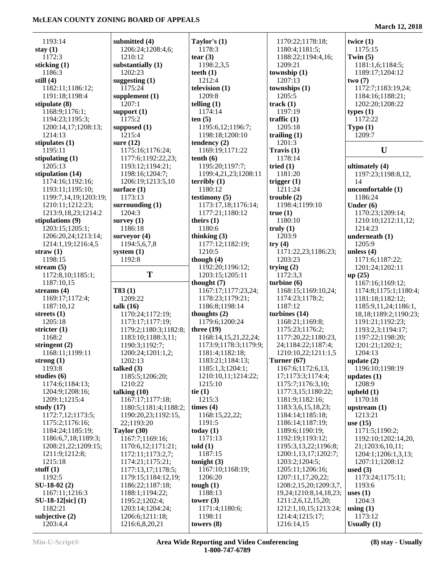| 1193:14               | submitted (4)         | Taylor's $(1)$        | 1170:22;1178:18;       | twice $(1)$                |
|-----------------------|-----------------------|-----------------------|------------------------|----------------------------|
| stay $(1)$            | 1206:24;1208:4,6;     | 1178:3                | 1180:4;1181:5;         | 1175:15                    |
| 1172:3                | 1210:12               | tear $(3)$            | 1188:22;1194:4,16;     | Twin $(5)$                 |
| sticking $(1)$        | substantially (1)     | 1198:2,3,5            | 1209:21                | 1181:1,6;1184:5;           |
| 1186:3                | 1202:23               | teeth $(1)$           | township $(1)$         | 1189:17;1204:12            |
| still $(4)$           | suggesting $(1)$      | 1212:4                | 1207:13                | two(7)                     |
| 1182:11;1186:12;      | 1175:24               | television (1)        | townships (1)          | 1172:7;1183:19,24;         |
| 1191:18;1198:4        | supplement $(1)$      | 1209:8                | 1205:5                 | 1184:16;1188:21;           |
| stipulate (8)         | 1207:1                | telling $(1)$         | track(1)               | 1202:20;1208:22            |
| 1168:9;1176:1;        | support $(1)$         | 1174:14               | 1197:19                | types $(1)$                |
| 1194:23;1195:3;       | 1175:2                | ten(5)                | traffic $(1)$          | 1172:22                    |
| 1200:14,17;1208:13;   | supposed $(1)$        | 1195:6,12;1196:7;     | 1205:18                | Typo(1)                    |
| 1214:13               | 1215:4                | 1198:18;1200:10       | trailing $(1)$         | 1209:7                     |
| stipulates $(1)$      | sure $(12)$           | tendency $(2)$        | 1201:3                 |                            |
| 1195:11               | 1175:16;1176:24;      | 1169:19;1171:22       | Travis (1)             | U                          |
| stipulating $(1)$     | 1177:6;1192:22,23;    | tenth(6)              | 1178:14                |                            |
| 1205:13               | 1193:12;1194:21;      | 1195:20;1197:7;       | tried $(1)$            | ultimately (4)             |
| stipulation (14)      | 1198:16;1204:7;       | 1199:4,21,23;1208:11  | 1181:20                | 1197:23;1198:8,12,         |
| 1174:16;1192:16;      | 1206:19;1213:5,10     | terribly $(1)$        | trigger $(1)$          | 14                         |
| 1193:11;1195:10;      | surface $(1)$         | 1180:12               | 1211:24                | uncomfortable (1)          |
| 1199:7,14,19;1203:19; | 1173:13               | testimony $(5)$       | trouble(2)             | 1186:24                    |
| 1210:11;1212:23;      | surrounding $(1)$     | 1173:17,18;1176:14;   | 1198:4;1199:10         | Under $(6)$                |
| 1213:9,18,23;1214:2   | 1204:3                | 1177:21;1180:12       | true(1)                | 1170:23;1209:14;           |
| stipulations (9)      | survey $(1)$          | theirs $(1)$          | 1180:10                | 1210:10;1212:11,12;        |
| 1203:15;1205:1;       | 1186:18               | 1180:6                | truly $(1)$            | 1214:23                    |
| 1206:20,24;1213:14;   | surveyor $(4)$        | thinking (3)          | 1203:9                 | underneath (1)             |
| 1214:1,19;1216:4,5    | 1194:5,6,7,8          | 1177:12;1182:19;      | try(4)                 | 1205:9                     |
| straw $(1)$           | system $(1)$          | 1210:5                | 1171:22,23;1186:23;    | unless $(4)$               |
| 1198:15               | 1192:8                | though $(4)$          | 1203:23                | 1171:6;1187:22;            |
| stream $(5)$          |                       | 1192:20;1196:12;      | trying $(2)$           | 1201:24;1202:11            |
| 1172:8,10;1185:1;     | T                     | 1203:15;1205:11       | 1172:3,3               | up(25)                     |
| 1187:10,15            |                       | thought $(7)$         | turbine $(6)$          | 1167:16;1169:12;           |
| streams $(4)$         | T83(1)                | 1167:17;1177:23,24;   | 1168:15;1169:10,24;    | 1174:8;1175:1;1180:4;      |
| 1169:17;1172:4;       | 1209:22               | 1178:23;1179:21;      | 1174:23;1178:2;        | 1181:18;1182:12;           |
| 1187:10,12            | talk $(16)$           | 1186:8;1198:14        | 1187:12                | 1185:9,11,24;1186:1,       |
| streets $(1)$         | 1170:24;1172:19;      | thoughts (2)          | turbines (14)          | 18, 18; 1189: 2; 1190: 23; |
| 1205:18               | 1173:17;1177:19;      | 1179:6;1200:24        | 1168:21;1169:8;        | 1191:21;1192:23;           |
| stricter $(1)$        | 1179:2;1180:3;1182:8; | three $(19)$          | 1175:23;1176:2;        | 1193:2,3;1194:17;          |
| 1168:2                | 1183:10;1188:3,11;    | 1168:14,15,21,22,24;  | 1177:20,22;1180:23,    | 1197:22;1198:20;           |
| stringent $(2)$       | 1190:3;1192:7;        | 1173:9;1178:3;1179:9; | 24;1184:22;1187:4;     | 1201:21;1202:1;            |
| 1168:11;1199:11       | 1200:24;1201:1,2;     | 1181:4;1182:18;       | 1210:10,22;1211:1,5    | 1204:13                    |
| strong $(1)$          | 1202:13               | 1183:21;1184:13;      | Turner $(67)$          | update $(2)$               |
| 1193:8                | talked $(3)$          | 1185:1,3;1204:1;      | 1167:6;1172:6,13,      | 1196:10;1198:19            |
| studies $(6)$         | 1185:5;1206:20;       | 1210:10,11;1214:22;   | 17;1173:3;1174:4;      | updates $(1)$              |
| 1174:6;1184:13;       | 1210:22               | 1215:10               | 1175:7;1176:3,10;      | 1208:9                     |
| 1204:9;1208:16;       | talking $(10)$        | tie $(1)$             | 1177:3,15;1180:22;     | upheld $(1)$               |
| 1209:1;1215:4         | 1167:17;1177:18;      | 1215:3                | 1181:9;1182:16;        | 1170:18                    |
| study $(17)$          | 1180:5;1181:4;1188:2; | times $(4)$           | 1183:3,6,15,18,23;     | upstream $(1)$             |
| 1172:7,12;1173:5;     | 1190:20,23;1192:15,   | 1168:15,22,22;        | 1184:14;1185:18;       | 1213:21                    |
| 1175:2;1176:16;       | 22;1193:20            | 1191:5                | 1186:14;1187:19;       | use $(15)$                 |
| 1184:24;1185:19;      | Taylor (30)           | today $(1)$           | 1189:6;1190:19;        | 1171:5;1190:2;             |
| 1186:6,7,18;1189:3;   | 1167:7;1169:16;       | 1171:13               | 1192:19;1193:12;       | 1192:10;1202:14,20,        |
| 1208:21,22;1209:15;   | 1170:6,12;1171:21;    | told(1)               | 1195:3,13,22;1196:8;   | 21;1203:6,10,11;           |
| 1211:9;1212:8;        | 1172:11;1173:2,7;     | 1187:15               | 1200:1,13,17;1202:7;   | 1204:1;1206:1,3,13;        |
| 1215:18               | 1174:21;1175:21;      | tonight $(3)$         | 1203:2;1204:5;         | 1207:11;1208:12            |
| stuff $(1)$           | 1177:13,17;1178:5;    | 1167:10;1168:19;      | 1205:11;1206:16;       | used $(3)$                 |
| 1192:5                | 1179:15;1184:12,19;   | 1206:20               | 1207:11,17,20,22;      | 1173:24;1175:11;           |
| $SU-18-02(2)$         | 1186:22;1187:18;      | tough $(1)$           | 1208:2,15,20;1209:3,7, | 1193:6                     |
| 1167:11;1216:3        | 1188:1;1194:22;       | 1188:13               | 19,24;1210:8,14,18,23; | uses $(1)$                 |
| $SU-18-12[sic]$ (1)   | 1195:2;1202:4;        | tower $(3)$           | 1211:2,6,12,15,20;     | 1204:3                     |
| 1182:21               | 1203:14;1204:24;      | 1171:4;1180:6;        | 1212:1,10,15;1213:24;  | using $(1)$                |
| subjective (2)        | 1206:6;1211:18;       | 1198:11               | 1214:4;1215:17;        | 1173:12                    |
| 1203:4,4              | 1216:6,8,20,21        | towers $(8)$          | 1216:14,15             | Usually $(1)$              |
|                       |                       |                       |                        |                            |